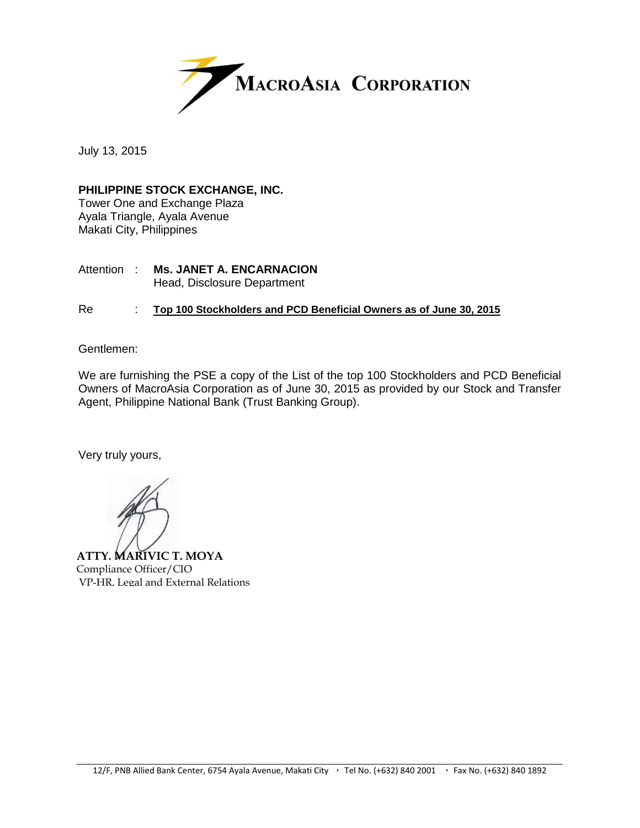

July 13, 2015

#### **PHILIPPINE STOCK EXCHANGE, INC.**

Tower One and Exchange Plaza Ayala Triangle, Ayala Avenue Makati City, Philippines

#### Attention : **Ms. JANET A. ENCARNACION** Head, Disclosure Department

#### Re : **Top 100 Stockholders and PCD Beneficial Owners as of June 30, 2015**

Gentlemen:

We are furnishing the PSE a copy of the List of the top 100 Stockholders and PCD Beneficial Owners of MacroAsia Corporation as of June 30, 2015 as provided by our Stock and Transfer Agent, Philippine National Bank (Trust Banking Group).

Very truly yours,

**ATTY. MARIVIC T. MOYA** Compliance Officer/CIO VP-HR, Legal and External Relations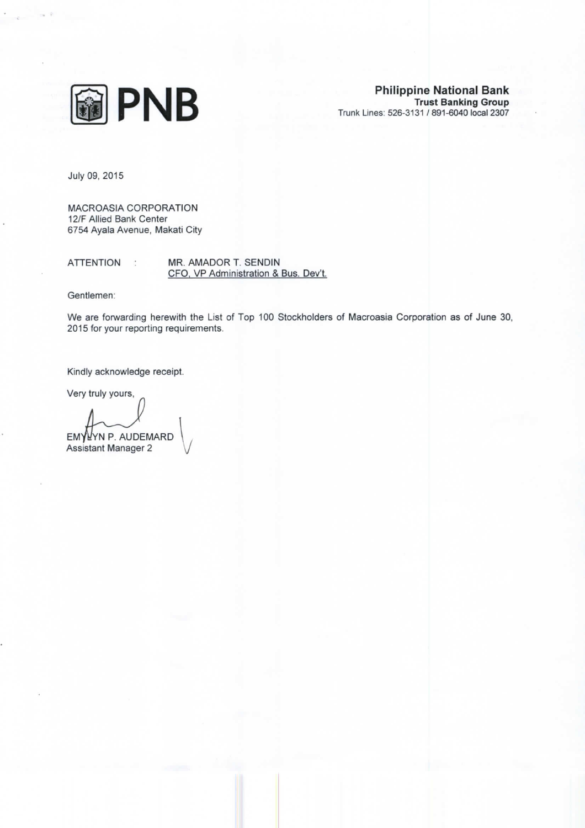

July 09, 2015

MACROASIA CORPORATION 12/F Allied Bank Center 6754 Ayala Avenue, Makati City

**ATTENTION** MR. AMADOR T. SENDIN  $\sigma$ CFO, VP Administration & Bus. Dev't.

Gentlemen:

We are forwarding herewith the List of Top 100 Stockholders of Macroasia Corporation as of June 30, 2015 for your reporting requirements.

Kindly acknowledge receipt.

Very truly yours,

EMYLYN P. AUDEMARD

**Assistant Manager 2**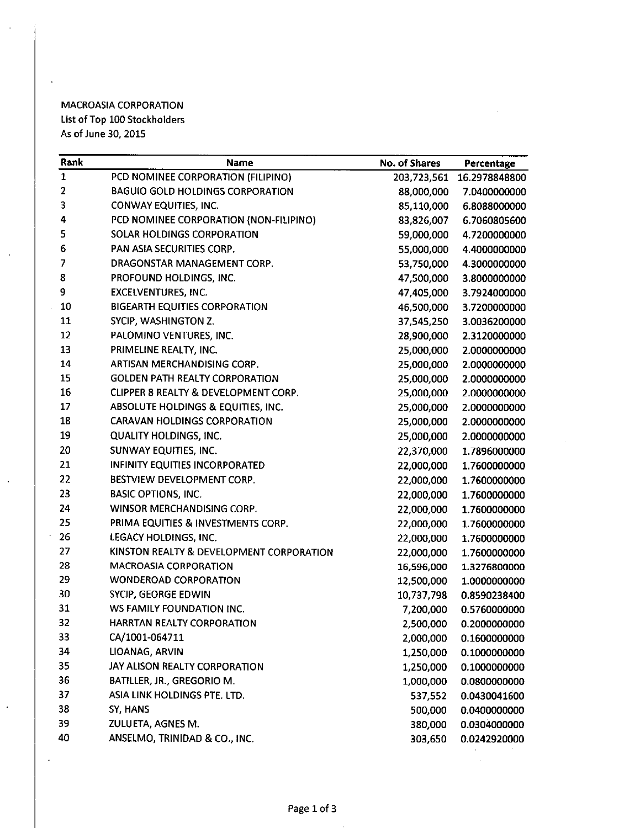### **MACROASIA CORPORATION** List of Top 100 Stockholders As of June 30, 2015

 $\ddot{\phantom{a}}$ 

 $\ddot{\phantom{a}}$ 

 $\ddot{\phantom{1}}$ 

| Rank | Name                                     | No. of Shares | Percentage    |
|------|------------------------------------------|---------------|---------------|
| 1    | PCD NOMINEE CORPORATION (FILIPINO)       | 203,723,561   | 16.2978848800 |
| 2    | <b>BAGUIO GOLD HOLDINGS CORPORATION</b>  | 88,000,000    | 7.0400000000  |
| 3    | CONWAY EQUITIES, INC.                    | 85,110,000    | 6.8088000000  |
| 4    | PCD NOMINEE CORPORATION (NON-FILIPINO)   | 83,826,007    | 6.7060805600  |
| 5    | SOLAR HOLDINGS CORPORATION               | 59,000,000    | 4.7200000000  |
| 6    | PAN ASIA SECURITIES CORP.                | 55,000,000    | 4.4000000000  |
| 7    | DRAGONSTAR MANAGEMENT CORP.              | 53,750,000    | 4.3000000000  |
| 8    | PROFOUND HOLDINGS, INC.                  | 47,500,000    | 3.8000000000  |
| 9    | <b>EXCELVENTURES, INC.</b>               | 47,405,000    | 3.7924000000  |
| 10   | <b>BIGEARTH EQUITIES CORPORATION</b>     | 46,500,000    | 3.7200000000  |
| 11   | SYCIP, WASHINGTON Z.                     | 37,545,250    | 3.0036200000  |
| 12   | PALOMINO VENTURES, INC.                  | 28,900,000    | 2.3120000000  |
| 13   | PRIMELINE REALTY, INC.                   | 25,000,000    | 2.0000000000  |
| 14   | ARTISAN MERCHANDISING CORP.              | 25,000,000    | 2.0000000000  |
| 15   | <b>GOLDEN PATH REALTY CORPORATION</b>    | 25,000,000    | 2.0000000000  |
| 16   | CLIPPER 8 REALTY & DEVELOPMENT CORP.     | 25,000,000    | 2.0000000000  |
| 17   | ABSOLUTE HOLDINGS & EQUITIES, INC.       | 25,000,000    | 2.0000000000  |
| 18   | <b>CARAVAN HOLDINGS CORPORATION</b>      | 25,000,000    | 2.0000000000  |
| 19   | <b>QUALITY HOLDINGS, INC.</b>            | 25,000,000    | 2.0000000000  |
| 20   | SUNWAY EQUITIES, INC.                    | 22,370,000    | 1.7896000000  |
| 21   | <b>INFINITY EQUITIES INCORPORATED</b>    | 22,000,000    | 1.7600000000  |
| 22   | BESTVIEW DEVELOPMENT CORP.               | 22,000,000    | 1.7600000000  |
| 23   | <b>BASIC OPTIONS, INC.</b>               | 22,000,000    | 1.7600000000  |
| 24   | WINSOR MERCHANDISING CORP.               | 22,000,000    | 1.7600000000  |
| 25   | PRIMA EQUITIES & INVESTMENTS CORP.       | 22,000,000    | 1.7600000000  |
| 26   | LEGACY HOLDINGS, INC.                    | 22,000,000    | 1.7600000000  |
| 27   | KINSTON REALTY & DEVELOPMENT CORPORATION | 22,000,000    | 1.7600000000  |
| 28   | <b>MACROASIA CORPORATION</b>             | 16,596,000    | 1.3276800000  |
| 29   | <b>WONDEROAD CORPORATION</b>             | 12,500,000    | 1.0000000000  |
| 30   | SYCIP, GEORGE EDWIN                      | 10,737,798    | 0.8590238400  |
| 31   | WS FAMILY FOUNDATION INC.                | 7,200,000     | 0.5760000000  |
| 32   | HARRTAN REALTY CORPORATION               | 2,500,000     | 0.2000000000  |
| 33   | CA/1001-064711                           | 2,000,000     | 0.1600000000  |
| 34   | LIOANAG, ARVIN                           | 1,250,000     | 0.1000000000  |
| 35   | JAY ALISON REALTY CORPORATION            | 1,250,000     | 0.1000000000  |
| 36   | BATILLER, JR., GREGORIO M.               | 1,000,000     | 0.0800000000  |
| 37   | ASIA LINK HOLDINGS PTE. LTD.             | 537,552       | 0.0430041600  |
| 38   | SY, HANS                                 | 500,000       | 0.0400000000  |
| 39   | ZULUETA, AGNES M.                        | 380,000       | 0.0304000000  |
| 40   | ANSELMO, TRINIDAD & CO., INC.            | 303,650       | 0.0242920000  |
|      |                                          |               |               |

 $\sim 10^{-1}$ 

 $\sim$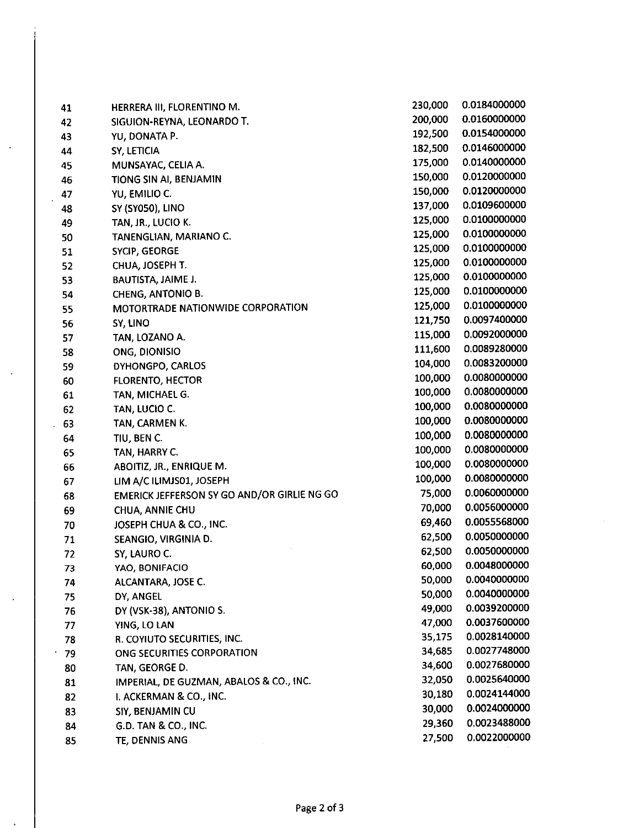| 41 | HERRERA III, FLORENTINO M.                  | 230,000 | 0.0184000000 |
|----|---------------------------------------------|---------|--------------|
| 42 | SIGUION-REYNA, LEONARDO T.                  | 200,000 | 0.0160000000 |
| 43 | YU, DONATA P.                               | 192,500 | 0.0154000000 |
| 44 | SY, LETICIA                                 | 182,500 | 0.0146000000 |
| 45 | MUNSAYAC, CELIA A.                          | 175,000 | 0.0140000000 |
| 46 | TIONG SIN AI, BENJAMIN                      | 150,000 | 0.0120000000 |
| 47 | YU, EMILIO C.                               | 150,000 | 0.0120000000 |
| 48 | <b>SY (SY050), LINO</b>                     | 137,000 | 0.0109600000 |
| 49 | TAN, JR., LUCIO K.                          | 125,000 | 0.0100000000 |
| 50 | TANENGLIAN, MARIANO C.                      | 125,000 | 0.0100000000 |
| 51 | SYCIP, GEORGE                               | 125,000 | 0.0100000000 |
| 52 | CHUA, JOSEPH T.                             | 125,000 | 0.0100000000 |
| 53 | BAUTISTA, JAIME J.                          | 125,000 | 0.0100000000 |
| 54 | <b>CHENG, ANTONIO B.</b>                    | 125,000 | 0.0100000000 |
| 55 | MOTORTRADE NATIONWIDE CORPORATION           | 125,000 | 0.0100000000 |
| 56 | SY, LINO                                    | 121,750 | 0.0097400000 |
| 57 | TAN, LOZANO A.                              | 115,000 | 0.0092000000 |
| 58 | ONG, DIONISIO                               | 111,600 | 0.0089280000 |
| 59 | DYHONGPO, CARLOS                            | 104,000 | 0.0083200000 |
| 60 | <b>FLORENTO, HECTOR</b>                     | 100,000 | 0.0080000000 |
| 61 | TAN, MICHAEL G.                             | 100,000 | 0.0080000000 |
| 62 | TAN, LUCIO C.                               | 100,000 | 0.0080000000 |
| 63 | TAN, CARMEN K.                              | 100,000 | 0.0080000000 |
| 64 | tiu, ben c.                                 | 100,000 | 0.0080000000 |
| 65 | TAN, HARRY C.                               | 100,000 | 0.0080000000 |
| 66 | ABOITIZ, JR., ENRIQUE M.                    | 100,000 | 0.0080000000 |
| 67 | LIM A/C ILIMJS01, JOSEPH                    | 100,000 | 0.0080000000 |
| 68 | EMERICK JEFFERSON SY GO AND/OR GIRLIE NG GO | 75,000  | 0.0060000000 |
| 69 | CHUA, ANNIE CHU                             | 70,000  | 0.0056000000 |
| 70 | JOSEPH CHUA & CO., INC.                     | 69,460  | 0.0055568000 |
| 71 | SEANGIO, VIRGINIA D.                        | 62,500  | 0.0050000000 |
| 72 | SY, LAURO C.                                | 62,500  | 0.0050000000 |
| 73 | YAO, BONIFACIO                              | 60,000  | 0.0048000000 |
| 74 | ALCANTARA, JOSE C.                          | 50,000  | 0.0040000000 |
| 75 | DY, ANGEL                                   | 50,000  | 0.0040000000 |
| 76 | DY (VSK-38), ANTONIO S.                     | 49,000  | 0.0039200000 |
| 77 | YING, LO LAN                                | 47,000  | 0.0037600000 |
| 78 | R. COYIUTO SECURITIES, INC.                 | 35,175  | 0.0028140000 |
| 79 | ONG SECURITIES CORPORATION                  | 34,685  | 0.0027748000 |
| 80 | TAN, GEORGE D.                              | 34,600  | 0.0027680000 |
| 81 | IMPERIAL, DE GUZMAN, ABALOS & CO., INC.     | 32,050  | 0.0025640000 |
| 82 | I. ACKERMAN & CO., INC.                     | 30,180  | 0.0024144000 |
| 83 | SIY, BENJAMIN CU                            | 30,000  | 0.0024000000 |
| 84 | G.D. TAN & CO., INC.                        | 29,360  | 0.0023488000 |
| 85 | TE, DENNIS ANG                              | 27,500  | 0.0022000000 |
|    |                                             |         |              |

 $\ddot{\phantom{a}}$ 

l,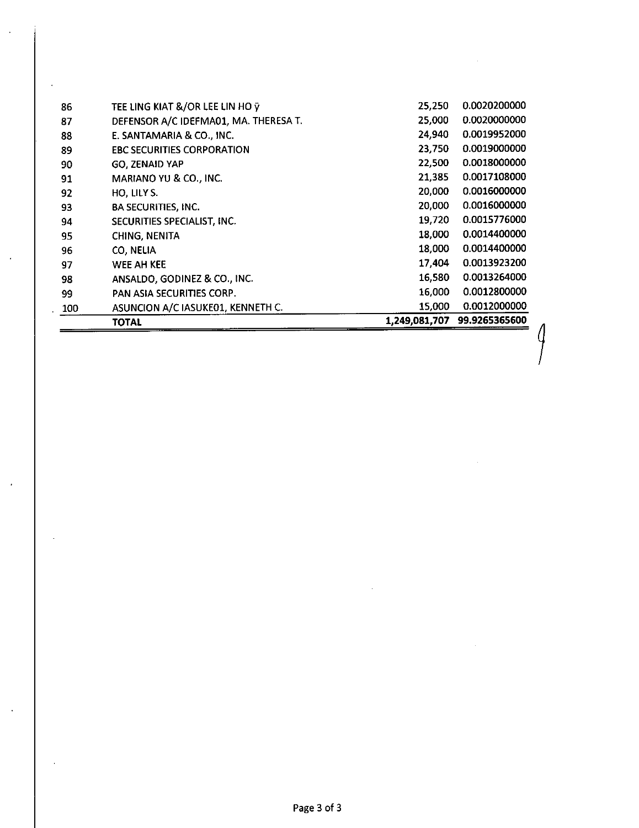|     | <b>TOTAL</b>                          | 1,249,081,707 | 99.9265365600 |
|-----|---------------------------------------|---------------|---------------|
| 100 | ASUNCION A/C IASUKE01, KENNETH C.     | 15,000        | 0.0012000000  |
| 99  | PAN ASIA SECURITIES CORP.             | 16,000        | 0.0012800000  |
| 98  | ANSALDO, GODINEZ & CO., INC.          | 16,580        | 0.0013264000  |
| 97  | WEE AH KEE                            | 17,404        | 0.0013923200  |
| 96  | CO, NELIA                             | 18,000        | 0.0014400000  |
| 95  | <b>CHING, NENITA</b>                  | 18,000        | 0.0014400000  |
| 94  | SECURITIES SPECIALIST, INC.           | 19,720        | 0.0015776000  |
| 93  | <b>BA SECURITIES, INC.</b>            | 20,000        | 0.0016000000  |
| 92  | HO, LILY S.                           | 20,000        | 0.0016000000  |
| 91  | MARIANO YU & CO., INC.                | 21,385        | 0.0017108000  |
| 90  | <b>GO. ZENAID YAP</b>                 | 22,500        | 0.0018000000  |
| 89  | <b>EBC SECURITIES CORPORATION</b>     | 23,750        | 0.0019000000  |
| 88  | E. SANTAMARIA & CO., INC.             | 24,940        | 0.0019952000  |
| 87  | DEFENSOR A/C IDEFMA01, MA. THERESA T. | 25,000        | 0.0020000000  |
| 86  | TEE LING KIAT &/OR LEE LIN HO ÿ       | 25,250        | 0.0020200000  |

 $\int$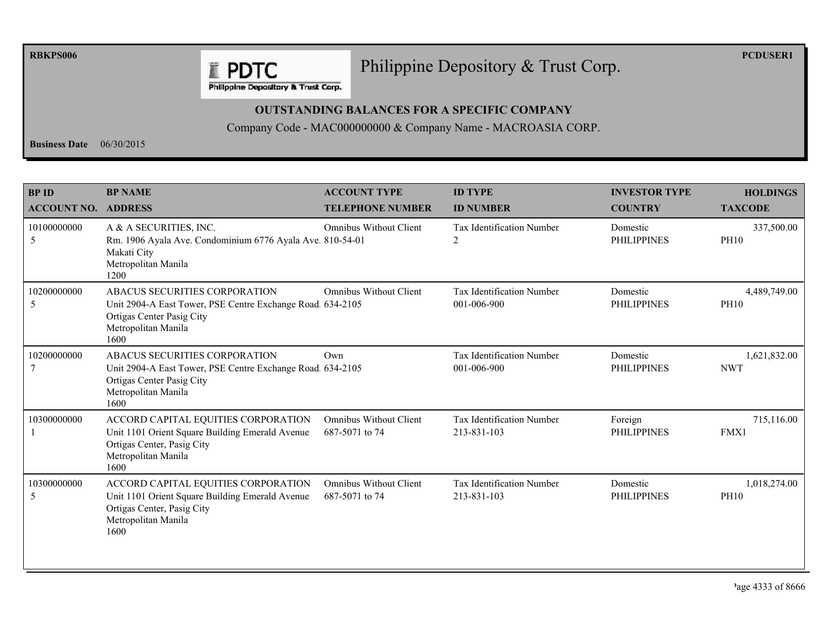**RBKPS006** 

# Philippine Depository & Trust Corp.

**PCDUSER1** 

Philippine Depository & Trust Corp.

**E PDTC** 

## **OUTSTANDING BALANCES FOR A SPECIFIC COMPANY**

Company Code - MAC000000000 & Company Name - MACROASIA CORP.

**Business Date**  $06/30/2015$ 

| <b>BPID</b><br><b>ACCOUNT NO. ADDRESS</b> | <b>BP NAME</b>                                                                                                                                          | <b>ACCOUNT TYPE</b><br><b>TELEPHONE NUMBER</b>  | <b>ID TYPE</b><br><b>ID NUMBER</b>              | <b>INVESTOR TYPE</b><br><b>COUNTRY</b> | <b>HOLDINGS</b><br><b>TAXCODE</b> |
|-------------------------------------------|---------------------------------------------------------------------------------------------------------------------------------------------------------|-------------------------------------------------|-------------------------------------------------|----------------------------------------|-----------------------------------|
| 10100000000<br>5                          | A & A SECURITIES, INC.<br>Rm. 1906 Ayala Ave. Condominium 6776 Ayala Ave. 810-54-01<br>Makati City<br>Metropolitan Manila<br>1200                       | <b>Omnibus Without Client</b>                   | <b>Tax Identification Number</b><br>2           | Domestic<br><b>PHILIPPINES</b>         | 337,500.00<br><b>PH10</b>         |
| 10200000000<br>5                          | ABACUS SECURITIES CORPORATION<br>Unit 2904-A East Tower, PSE Centre Exchange Road. 634-2105<br>Ortigas Center Pasig City<br>Metropolitan Manila<br>1600 | <b>Omnibus Without Client</b>                   | Tax Identification Number<br>001-006-900        | Domestic<br><b>PHILIPPINES</b>         | 4,489,749.00<br><b>PH10</b>       |
| 10200000000                               | ABACUS SECURITIES CORPORATION<br>Unit 2904-A East Tower, PSE Centre Exchange Road 634-2105<br>Ortigas Center Pasig City<br>Metropolitan Manila<br>1600  | Own                                             | <b>Tax Identification Number</b><br>001-006-900 | Domestic<br><b>PHILIPPINES</b>         | 1,621,832.00<br><b>NWT</b>        |
| 10300000000                               | ACCORD CAPITAL EQUITIES CORPORATION<br>Unit 1101 Orient Square Building Emerald Avenue<br>Ortigas Center, Pasig City<br>Metropolitan Manila<br>1600     | <b>Omnibus Without Client</b><br>687-5071 to 74 | <b>Tax Identification Number</b><br>213-831-103 | Foreign<br><b>PHILIPPINES</b>          | 715,116.00<br>FMX1                |
| 10300000000<br>5                          | ACCORD CAPITAL EQUITIES CORPORATION<br>Unit 1101 Orient Square Building Emerald Avenue<br>Ortigas Center, Pasig City<br>Metropolitan Manila<br>1600     | <b>Omnibus Without Client</b><br>687-5071 to 74 | Tax Identification Number<br>213-831-103        | Domestic<br><b>PHILIPPINES</b>         | 1,018,274.00<br><b>PH10</b>       |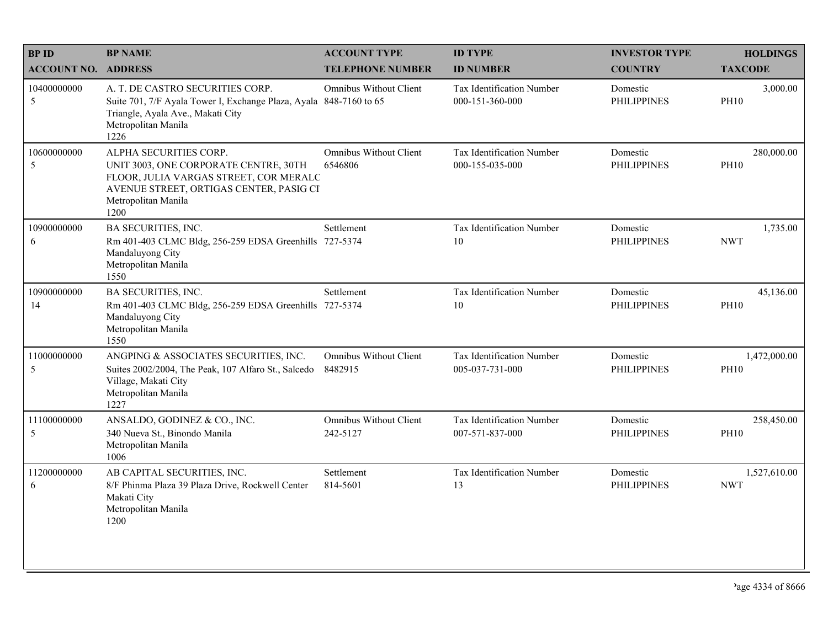| <b>BPID</b>                | <b>BP NAME</b>                                                                                                                                                                      | <b>ACCOUNT TYPE</b>                       | <b>ID TYPE</b>                               | <b>INVESTOR TYPE</b>           | <b>HOLDINGS</b>             |
|----------------------------|-------------------------------------------------------------------------------------------------------------------------------------------------------------------------------------|-------------------------------------------|----------------------------------------------|--------------------------------|-----------------------------|
| <b>ACCOUNT NO. ADDRESS</b> |                                                                                                                                                                                     | <b>TELEPHONE NUMBER</b>                   | <b>ID NUMBER</b>                             | <b>COUNTRY</b>                 | <b>TAXCODE</b>              |
| 10400000000<br>5           | A. T. DE CASTRO SECURITIES CORP.<br>Suite 701, 7/F Ayala Tower I, Exchange Plaza, Ayala 848-7160 to 65<br>Triangle, Ayala Ave., Makati City<br>Metropolitan Manila<br>1226          | <b>Omnibus Without Client</b>             | Tax Identification Number<br>000-151-360-000 | Domestic<br><b>PHILIPPINES</b> | 3,000.00<br><b>PH10</b>     |
| 10600000000<br>5           | ALPHA SECURITIES CORP.<br>UNIT 3003, ONE CORPORATE CENTRE, 30TH<br>FLOOR, JULIA VARGAS STREET, COR MERALC<br>AVENUE STREET, ORTIGAS CENTER, PASIG CI<br>Metropolitan Manila<br>1200 | <b>Omnibus Without Client</b><br>6546806  | Tax Identification Number<br>000-155-035-000 | Domestic<br><b>PHILIPPINES</b> | 280,000.00<br><b>PH10</b>   |
| 10900000000<br>6           | <b>BA SECURITIES, INC.</b><br>Rm 401-403 CLMC Bldg, 256-259 EDSA Greenhills 727-5374<br>Mandaluyong City<br>Metropolitan Manila<br>1550                                             | Settlement                                | Tax Identification Number<br>10              | Domestic<br><b>PHILIPPINES</b> | 1,735.00<br><b>NWT</b>      |
| 10900000000<br>14          | <b>BA SECURITIES, INC.</b><br>Rm 401-403 CLMC Bldg, 256-259 EDSA Greenhills 727-5374<br>Mandaluyong City<br>Metropolitan Manila<br>1550                                             | Settlement                                | Tax Identification Number<br>10              | Domestic<br><b>PHILIPPINES</b> | 45,136.00<br><b>PH10</b>    |
| 11000000000<br>5           | ANGPING & ASSOCIATES SECURITIES, INC.<br>Suites 2002/2004, The Peak, 107 Alfaro St., Salcedo<br>Village, Makati City<br>Metropolitan Manila<br>1227                                 | <b>Omnibus Without Client</b><br>8482915  | Tax Identification Number<br>005-037-731-000 | Domestic<br><b>PHILIPPINES</b> | 1,472,000.00<br><b>PH10</b> |
| 11100000000<br>5           | ANSALDO, GODINEZ & CO., INC.<br>340 Nueva St., Binondo Manila<br>Metropolitan Manila<br>1006                                                                                        | <b>Omnibus Without Client</b><br>242-5127 | Tax Identification Number<br>007-571-837-000 | Domestic<br><b>PHILIPPINES</b> | 258,450.00<br><b>PH10</b>   |
| 11200000000<br>6           | AB CAPITAL SECURITIES, INC.<br>8/F Phinma Plaza 39 Plaza Drive, Rockwell Center<br>Makati City<br>Metropolitan Manila<br>1200                                                       | Settlement<br>814-5601                    | Tax Identification Number<br>13              | Domestic<br><b>PHILIPPINES</b> | 1,527,610.00<br><b>NWT</b>  |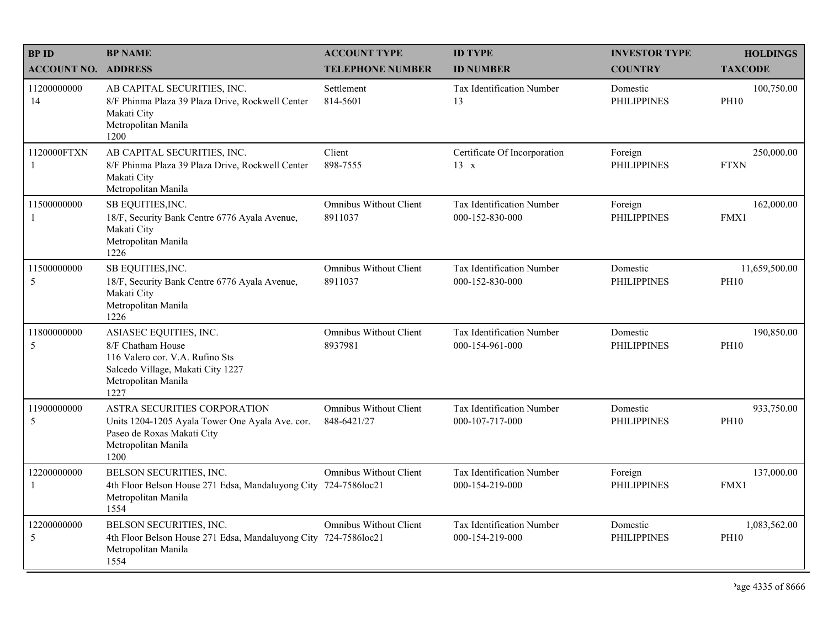| <b>BPID</b>                   | <b>BP NAME</b>                                                                                                                                     | <b>ACCOUNT TYPE</b>                            | <b>ID TYPE</b>                               | <b>INVESTOR TYPE</b>           | <b>HOLDINGS</b>              |
|-------------------------------|----------------------------------------------------------------------------------------------------------------------------------------------------|------------------------------------------------|----------------------------------------------|--------------------------------|------------------------------|
| <b>ACCOUNT NO. ADDRESS</b>    |                                                                                                                                                    | <b>TELEPHONE NUMBER</b>                        | <b>ID NUMBER</b>                             | <b>COUNTRY</b>                 | <b>TAXCODE</b>               |
| 11200000000<br>14             | AB CAPITAL SECURITIES, INC.<br>8/F Phinma Plaza 39 Plaza Drive, Rockwell Center<br>Makati City<br>Metropolitan Manila<br>1200                      | Settlement<br>814-5601                         | <b>Tax Identification Number</b><br>13       | Domestic<br><b>PHILIPPINES</b> | 100,750.00<br><b>PH10</b>    |
| 1120000FTXN<br>$\overline{1}$ | AB CAPITAL SECURITIES, INC.<br>8/F Phinma Plaza 39 Plaza Drive, Rockwell Center<br>Makati City<br>Metropolitan Manila                              | Client<br>898-7555                             | Certificate Of Incorporation<br>$13 \times$  | Foreign<br><b>PHILIPPINES</b>  | 250,000.00<br><b>FTXN</b>    |
| 11500000000<br>-1             | SB EQUITIES, INC.<br>18/F, Security Bank Centre 6776 Ayala Avenue,<br>Makati City<br>Metropolitan Manila<br>1226                                   | <b>Omnibus Without Client</b><br>8911037       | Tax Identification Number<br>000-152-830-000 | Foreign<br><b>PHILIPPINES</b>  | 162,000.00<br>FMX1           |
| 11500000000<br>5              | SB EQUITIES, INC.<br>18/F, Security Bank Centre 6776 Ayala Avenue,<br>Makati City<br>Metropolitan Manila<br>1226                                   | <b>Omnibus Without Client</b><br>8911037       | Tax Identification Number<br>000-152-830-000 | Domestic<br><b>PHILIPPINES</b> | 11,659,500.00<br><b>PH10</b> |
| 11800000000<br>5              | ASIASEC EQUITIES, INC.<br>8/F Chatham House<br>116 Valero cor. V.A. Rufino Sts<br>Salcedo Village, Makati City 1227<br>Metropolitan Manila<br>1227 | <b>Omnibus Without Client</b><br>8937981       | Tax Identification Number<br>000-154-961-000 | Domestic<br><b>PHILIPPINES</b> | 190,850.00<br><b>PH10</b>    |
| 11900000000<br>5              | ASTRA SECURITIES CORPORATION<br>Units 1204-1205 Ayala Tower One Ayala Ave. cor.<br>Paseo de Roxas Makati City<br>Metropolitan Manila<br>1200       | <b>Omnibus Without Client</b><br>848-6421/27   | Tax Identification Number<br>000-107-717-000 | Domestic<br><b>PHILIPPINES</b> | 933,750.00<br><b>PH10</b>    |
| 12200000000<br>-1             | BELSON SECURITIES, INC.<br>4th Floor Belson House 271 Edsa, Mandaluyong City 724-7586loc21<br>Metropolitan Manila<br>1554                          | <b>Omnibus Without Client</b>                  | Tax Identification Number<br>000-154-219-000 | Foreign<br><b>PHILIPPINES</b>  | 137,000.00<br>FMX1           |
| 12200000000<br>5              | BELSON SECURITIES, INC.<br>4th Floor Belson House 271 Edsa, Mandaluyong City<br>Metropolitan Manila<br>1554                                        | <b>Omnibus Without Client</b><br>724-7586loc21 | Tax Identification Number<br>000-154-219-000 | Domestic<br><b>PHILIPPINES</b> | 1,083,562.00<br><b>PH10</b>  |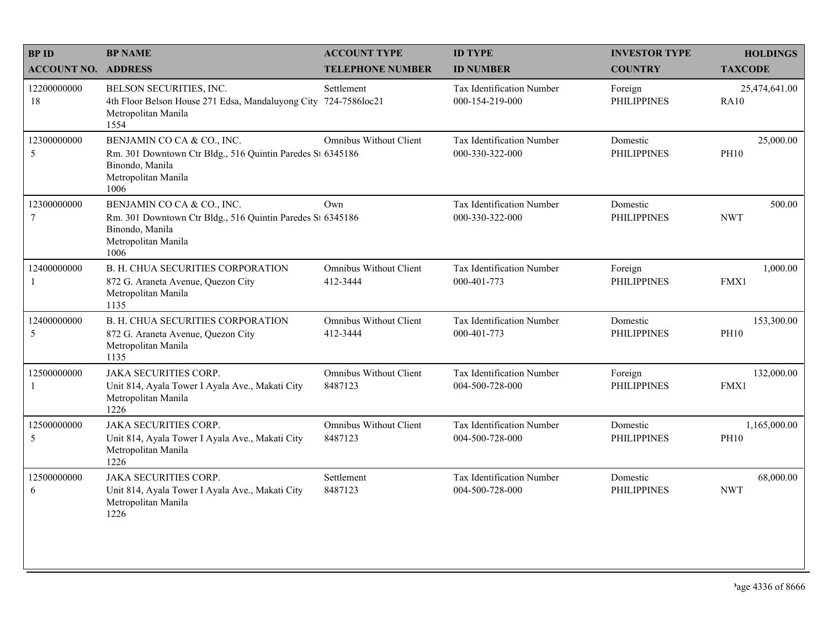| <b>BPID</b>                   | <b>BP NAME</b>                                                                                                                             | <b>ACCOUNT TYPE</b>                       | <b>ID TYPE</b>                               | <b>INVESTOR TYPE</b>           | <b>HOLDINGS</b>              |
|-------------------------------|--------------------------------------------------------------------------------------------------------------------------------------------|-------------------------------------------|----------------------------------------------|--------------------------------|------------------------------|
| <b>ACCOUNT NO. ADDRESS</b>    |                                                                                                                                            | <b>TELEPHONE NUMBER</b>                   | <b>ID NUMBER</b>                             | <b>COUNTRY</b>                 | <b>TAXCODE</b>               |
| 12200000000<br>18             | BELSON SECURITIES, INC.<br>4th Floor Belson House 271 Edsa, Mandaluyong City<br>Metropolitan Manila<br>1554                                | Settlement<br>724-7586loc21               | Tax Identification Number<br>000-154-219-000 | Foreign<br><b>PHILIPPINES</b>  | 25,474,641.00<br><b>RA10</b> |
| 12300000000<br>5              | BENJAMIN CO CA & CO., INC.<br>Rm. 301 Downtown Ctr Bldg., 516 Quintin Paredes St 6345186<br>Binondo, Manila<br>Metropolitan Manila<br>1006 | Omnibus Without Client                    | Tax Identification Number<br>000-330-322-000 | Domestic<br><b>PHILIPPINES</b> | 25,000.00<br><b>PH10</b>     |
| 12300000000<br>$\overline{7}$ | BENJAMIN CO CA & CO., INC.<br>Rm. 301 Downtown Ctr Bldg., 516 Quintin Paredes St 6345186<br>Binondo, Manila<br>Metropolitan Manila<br>1006 | Own                                       | Tax Identification Number<br>000-330-322-000 | Domestic<br><b>PHILIPPINES</b> | 500.00<br><b>NWT</b>         |
| 12400000000<br>$\mathbf{1}$   | B. H. CHUA SECURITIES CORPORATION<br>872 G. Araneta Avenue, Quezon City<br>Metropolitan Manila<br>1135                                     | <b>Omnibus Without Client</b><br>412-3444 | Tax Identification Number<br>000-401-773     | Foreign<br><b>PHILIPPINES</b>  | 1,000.00<br>FMX1             |
| 12400000000<br>$\sqrt{5}$     | B. H. CHUA SECURITIES CORPORATION<br>872 G. Araneta Avenue, Quezon City<br>Metropolitan Manila<br>1135                                     | <b>Omnibus Without Client</b><br>412-3444 | Tax Identification Number<br>000-401-773     | Domestic<br><b>PHILIPPINES</b> | 153,300.00<br><b>PH10</b>    |
| 12500000000<br>$\mathbf{1}$   | <b>JAKA SECURITIES CORP.</b><br>Unit 814, Ayala Tower I Ayala Ave., Makati City<br>Metropolitan Manila<br>1226                             | <b>Omnibus Without Client</b><br>8487123  | Tax Identification Number<br>004-500-728-000 | Foreign<br><b>PHILIPPINES</b>  | 132,000.00<br>FMX1           |
| 12500000000<br>5              | JAKA SECURITIES CORP.<br>Unit 814, Ayala Tower I Ayala Ave., Makati City<br>Metropolitan Manila<br>1226                                    | <b>Omnibus Without Client</b><br>8487123  | Tax Identification Number<br>004-500-728-000 | Domestic<br><b>PHILIPPINES</b> | 1,165,000.00<br><b>PH10</b>  |
| 12500000000<br>6              | <b>JAKA SECURITIES CORP.</b><br>Unit 814, Ayala Tower I Ayala Ave., Makati City<br>Metropolitan Manila<br>1226                             | Settlement<br>8487123                     | Tax Identification Number<br>004-500-728-000 | Domestic<br><b>PHILIPPINES</b> | 68,000.00<br><b>NWT</b>      |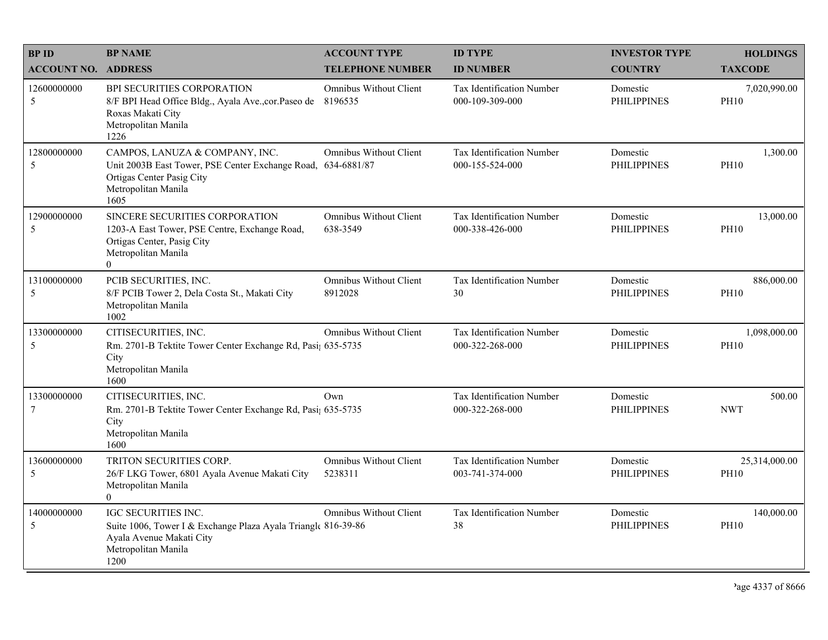| <b>BPID</b>                   | <b>BP NAME</b>                                                                                                                                             | <b>ACCOUNT TYPE</b>                       | <b>ID TYPE</b>                                      | <b>INVESTOR TYPE</b>           | <b>HOLDINGS</b>              |
|-------------------------------|------------------------------------------------------------------------------------------------------------------------------------------------------------|-------------------------------------------|-----------------------------------------------------|--------------------------------|------------------------------|
| <b>ACCOUNT NO. ADDRESS</b>    |                                                                                                                                                            | <b>TELEPHONE NUMBER</b>                   | <b>ID NUMBER</b>                                    | <b>COUNTRY</b>                 | <b>TAXCODE</b>               |
| 12600000000<br>5              | BPI SECURITIES CORPORATION<br>8/F BPI Head Office Bldg., Ayala Ave., cor. Paseo de<br>Roxas Makati City<br>Metropolitan Manila<br>1226                     | Omnibus Without Client<br>8196535         | <b>Tax Identification Number</b><br>000-109-309-000 | Domestic<br><b>PHILIPPINES</b> | 7,020,990.00<br><b>PH10</b>  |
| 12800000000<br>5              | CAMPOS, LANUZA & COMPANY, INC.<br>Unit 2003B East Tower, PSE Center Exchange Road, 634-6881/87<br>Ortigas Center Pasig City<br>Metropolitan Manila<br>1605 | Omnibus Without Client                    | Tax Identification Number<br>000-155-524-000        | Domestic<br><b>PHILIPPINES</b> | 1,300.00<br><b>PH10</b>      |
| 12900000000<br>5              | SINCERE SECURITIES CORPORATION<br>1203-A East Tower, PSE Centre, Exchange Road,<br>Ortigas Center, Pasig City<br>Metropolitan Manila<br>$\theta$           | <b>Omnibus Without Client</b><br>638-3549 | <b>Tax Identification Number</b><br>000-338-426-000 | Domestic<br><b>PHILIPPINES</b> | 13,000.00<br><b>PH10</b>     |
| 13100000000<br>5              | PCIB SECURITIES, INC.<br>8/F PCIB Tower 2, Dela Costa St., Makati City<br>Metropolitan Manila<br>1002                                                      | Omnibus Without Client<br>8912028         | Tax Identification Number<br>30                     | Domestic<br><b>PHILIPPINES</b> | 886,000.00<br><b>PH10</b>    |
| 13300000000<br>5              | CITISECURITIES, INC.<br>Rm. 2701-B Tektite Tower Center Exchange Rd, Pasi; 635-5735<br>City<br>Metropolitan Manila<br>1600                                 | <b>Omnibus Without Client</b>             | Tax Identification Number<br>000-322-268-000        | Domestic<br><b>PHILIPPINES</b> | 1,098,000.00<br><b>PH10</b>  |
| 13300000000<br>$\overline{7}$ | CITISECURITIES, INC.<br>Rm. 2701-B Tektite Tower Center Exchange Rd, Pasi; 635-5735<br>City<br>Metropolitan Manila<br>1600                                 | Own                                       | <b>Tax Identification Number</b><br>000-322-268-000 | Domestic<br><b>PHILIPPINES</b> | 500.00<br><b>NWT</b>         |
| 13600000000<br>5              | TRITON SECURITIES CORP.<br>26/F LKG Tower, 6801 Ayala Avenue Makati City<br>Metropolitan Manila<br>$\theta$                                                | <b>Omnibus Without Client</b><br>5238311  | Tax Identification Number<br>003-741-374-000        | Domestic<br><b>PHILIPPINES</b> | 25,314,000.00<br><b>PH10</b> |
| 14000000000<br>5              | IGC SECURITIES INC.<br>Suite 1006, Tower I & Exchange Plaza Ayala Triangle 816-39-86<br>Ayala Avenue Makati City<br>Metropolitan Manila<br>1200            | <b>Omnibus Without Client</b>             | Tax Identification Number<br>38                     | Domestic<br><b>PHILIPPINES</b> | 140,000.00<br><b>PH10</b>    |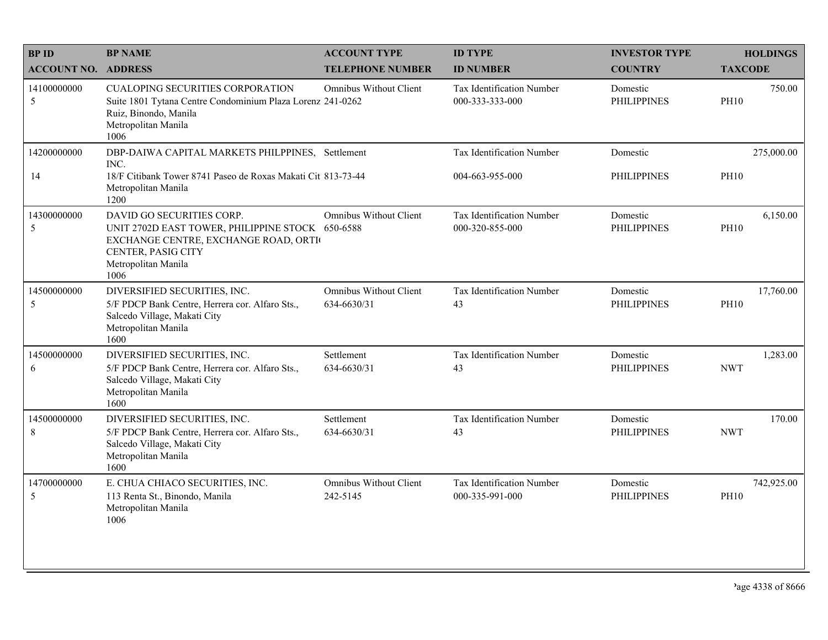| <b>BPID</b>                | <b>BP NAME</b>                                                                                                                                                             | <b>ACCOUNT TYPE</b>                       | <b>ID TYPE</b>                                      | <b>INVESTOR TYPE</b>           | <b>HOLDINGS</b>           |
|----------------------------|----------------------------------------------------------------------------------------------------------------------------------------------------------------------------|-------------------------------------------|-----------------------------------------------------|--------------------------------|---------------------------|
| <b>ACCOUNT NO. ADDRESS</b> |                                                                                                                                                                            | <b>TELEPHONE NUMBER</b>                   | <b>ID NUMBER</b>                                    | <b>COUNTRY</b>                 | <b>TAXCODE</b>            |
| 14100000000<br>5           | <b>CUALOPING SECURITIES CORPORATION</b><br>Suite 1801 Tytana Centre Condominium Plaza Lorenz 241-0262<br>Ruiz, Binondo, Manila<br>Metropolitan Manila<br>1006              | <b>Omnibus Without Client</b>             | <b>Tax Identification Number</b><br>000-333-333-000 | Domestic<br><b>PHILIPPINES</b> | 750.00<br><b>PH10</b>     |
| 14200000000                | DBP-DAIWA CAPITAL MARKETS PHILPPINES, Settlement<br>INC.                                                                                                                   |                                           | Tax Identification Number                           | Domestic                       | 275,000.00                |
| 14                         | 18/F Citibank Tower 8741 Paseo de Roxas Makati Cit 813-73-44<br>Metropolitan Manila<br>1200                                                                                |                                           | 004-663-955-000                                     | PHILIPPINES                    | <b>PH10</b>               |
| 14300000000<br>5           | DAVID GO SECURITIES CORP.<br>UNIT 2702D EAST TOWER, PHILIPPINE STOCK 650-6588<br>EXCHANGE CENTRE, EXCHANGE ROAD, ORTI<br>CENTER, PASIG CITY<br>Metropolitan Manila<br>1006 | <b>Omnibus Without Client</b>             | Tax Identification Number<br>000-320-855-000        | Domestic<br><b>PHILIPPINES</b> | 6,150.00<br><b>PH10</b>   |
| 14500000000<br>5           | DIVERSIFIED SECURITIES, INC.<br>5/F PDCP Bank Centre, Herrera cor. Alfaro Sts.,<br>Salcedo Village, Makati City<br>Metropolitan Manila<br>1600                             | Omnibus Without Client<br>634-6630/31     | Tax Identification Number<br>43                     | Domestic<br><b>PHILIPPINES</b> | 17,760.00<br><b>PH10</b>  |
| 14500000000<br>6           | DIVERSIFIED SECURITIES, INC.<br>5/F PDCP Bank Centre, Herrera cor. Alfaro Sts.,<br>Salcedo Village, Makati City<br>Metropolitan Manila<br>1600                             | Settlement<br>634-6630/31                 | Tax Identification Number<br>43                     | Domestic<br><b>PHILIPPINES</b> | 1,283.00<br><b>NWT</b>    |
| 14500000000<br>8           | DIVERSIFIED SECURITIES, INC.<br>5/F PDCP Bank Centre, Herrera cor. Alfaro Sts.,<br>Salcedo Village, Makati City<br>Metropolitan Manila<br>1600                             | Settlement<br>634-6630/31                 | Tax Identification Number<br>43                     | Domestic<br><b>PHILIPPINES</b> | 170.00<br><b>NWT</b>      |
| 14700000000<br>5           | E. CHUA CHIACO SECURITIES, INC.<br>113 Renta St., Binondo, Manila<br>Metropolitan Manila<br>1006                                                                           | <b>Omnibus Without Client</b><br>242-5145 | Tax Identification Number<br>000-335-991-000        | Domestic<br><b>PHILIPPINES</b> | 742,925.00<br><b>PH10</b> |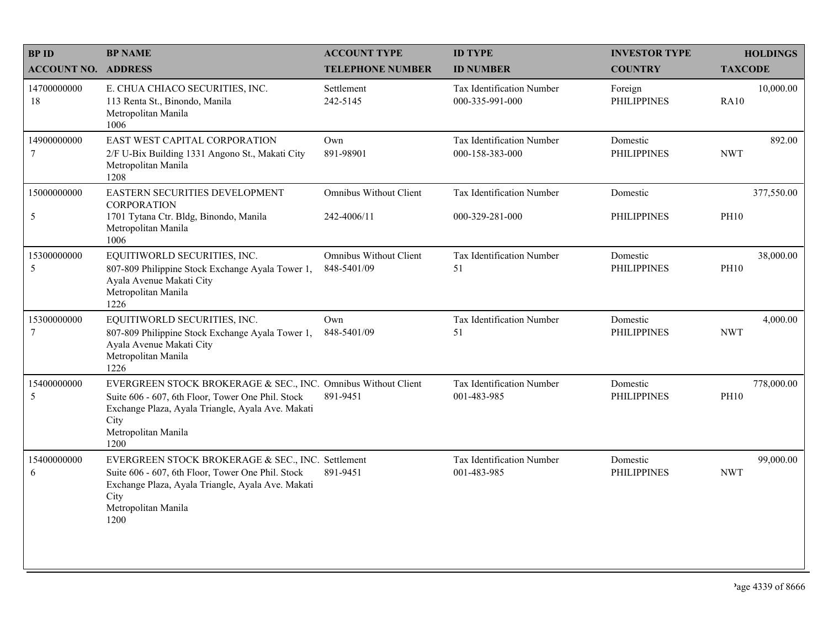| <b>BPID</b>                | <b>BP NAME</b>                                                                                                                                                                                                 | <b>ACCOUNT TYPE</b>                          | <b>ID TYPE</b>                                      | <b>INVESTOR TYPE</b>           | <b>HOLDINGS</b>           |
|----------------------------|----------------------------------------------------------------------------------------------------------------------------------------------------------------------------------------------------------------|----------------------------------------------|-----------------------------------------------------|--------------------------------|---------------------------|
| <b>ACCOUNT NO. ADDRESS</b> |                                                                                                                                                                                                                | <b>TELEPHONE NUMBER</b>                      | <b>ID NUMBER</b>                                    | <b>COUNTRY</b>                 | <b>TAXCODE</b>            |
| 14700000000<br>18          | E. CHUA CHIACO SECURITIES, INC.<br>113 Renta St., Binondo, Manila<br>Metropolitan Manila<br>1006                                                                                                               | Settlement<br>242-5145                       | <b>Tax Identification Number</b><br>000-335-991-000 | Foreign<br><b>PHILIPPINES</b>  | 10,000.00<br><b>RA10</b>  |
| 14900000000<br>7           | EAST WEST CAPITAL CORPORATION<br>2/F U-Bix Building 1331 Angono St., Makati City<br>Metropolitan Manila<br>1208                                                                                                | Own<br>891-98901                             | Tax Identification Number<br>000-158-383-000        | Domestic<br><b>PHILIPPINES</b> | 892.00<br><b>NWT</b>      |
| 15000000000                | EASTERN SECURITIES DEVELOPMENT<br><b>CORPORATION</b>                                                                                                                                                           | <b>Omnibus Without Client</b>                | Tax Identification Number                           | Domestic                       | 377,550.00                |
| $\mathfrak{H}$             | 1701 Tytana Ctr. Bldg, Binondo, Manila<br>Metropolitan Manila<br>1006                                                                                                                                          | 242-4006/11                                  | 000-329-281-000                                     | PHILIPPINES                    | <b>PH10</b>               |
| 15300000000<br>5           | EQUITIWORLD SECURITIES, INC.<br>807-809 Philippine Stock Exchange Ayala Tower 1,<br>Ayala Avenue Makati City<br>Metropolitan Manila<br>1226                                                                    | <b>Omnibus Without Client</b><br>848-5401/09 | Tax Identification Number<br>51                     | Domestic<br><b>PHILIPPINES</b> | 38,000.00<br><b>PH10</b>  |
| 15300000000<br>$\tau$      | EQUITIWORLD SECURITIES, INC.<br>807-809 Philippine Stock Exchange Ayala Tower 1,<br>Ayala Avenue Makati City<br>Metropolitan Manila<br>1226                                                                    | Own<br>848-5401/09                           | Tax Identification Number<br>51                     | Domestic<br><b>PHILIPPINES</b> | 4,000.00<br><b>NWT</b>    |
| 15400000000<br>5           | EVERGREEN STOCK BROKERAGE & SEC., INC. Omnibus Without Client<br>Suite 606 - 607, 6th Floor, Tower One Phil. Stock<br>Exchange Plaza, Ayala Triangle, Ayala Ave. Makati<br>City<br>Metropolitan Manila<br>1200 | 891-9451                                     | Tax Identification Number<br>001-483-985            | Domestic<br><b>PHILIPPINES</b> | 778,000.00<br><b>PH10</b> |
| 15400000000<br>6           | EVERGREEN STOCK BROKERAGE & SEC., INC. Settlement<br>Suite 606 - 607, 6th Floor, Tower One Phil. Stock<br>Exchange Plaza, Ayala Triangle, Ayala Ave. Makati<br>City<br>Metropolitan Manila<br>1200             | 891-9451                                     | Tax Identification Number<br>001-483-985            | Domestic<br><b>PHILIPPINES</b> | 99,000.00<br><b>NWT</b>   |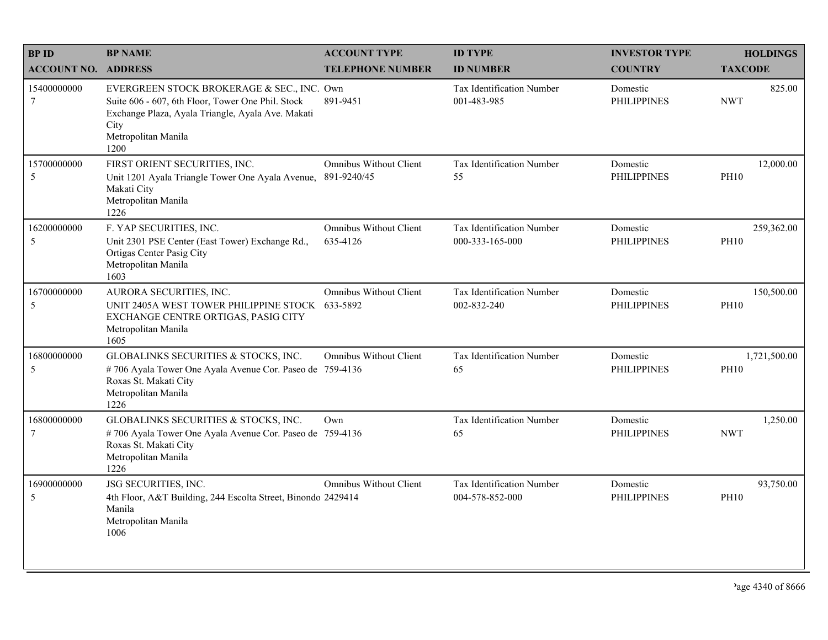| <b>BPID</b>                   | <b>BP NAME</b>                                                                                                                                                                              | <b>ACCOUNT TYPE</b>                       | <b>ID TYPE</b>                                  | <b>INVESTOR TYPE</b>           | <b>HOLDINGS</b>             |
|-------------------------------|---------------------------------------------------------------------------------------------------------------------------------------------------------------------------------------------|-------------------------------------------|-------------------------------------------------|--------------------------------|-----------------------------|
| <b>ACCOUNT NO. ADDRESS</b>    |                                                                                                                                                                                             | <b>TELEPHONE NUMBER</b>                   | <b>ID NUMBER</b>                                | <b>COUNTRY</b>                 | <b>TAXCODE</b>              |
| 15400000000<br>$\tau$         | EVERGREEN STOCK BROKERAGE & SEC., INC. Own<br>Suite 606 - 607, 6th Floor, Tower One Phil. Stock<br>Exchange Plaza, Ayala Triangle, Ayala Ave. Makati<br>City<br>Metropolitan Manila<br>1200 | 891-9451                                  | <b>Tax Identification Number</b><br>001-483-985 | Domestic<br><b>PHILIPPINES</b> | 825.00<br><b>NWT</b>        |
| 15700000000<br>5              | FIRST ORIENT SECURITIES, INC.<br>Unit 1201 Ayala Triangle Tower One Ayala Avenue,<br>Makati City<br>Metropolitan Manila<br>1226                                                             | Omnibus Without Client<br>891-9240/45     | Tax Identification Number<br>55                 | Domestic<br><b>PHILIPPINES</b> | 12,000.00<br><b>PH10</b>    |
| 16200000000<br>5              | F. YAP SECURITIES, INC.<br>Unit 2301 PSE Center (East Tower) Exchange Rd.,<br>Ortigas Center Pasig City<br>Metropolitan Manila<br>1603                                                      | <b>Omnibus Without Client</b><br>635-4126 | Tax Identification Number<br>000-333-165-000    | Domestic<br><b>PHILIPPINES</b> | 259,362.00<br><b>PH10</b>   |
| 16700000000<br>5              | AURORA SECURITIES, INC.<br>UNIT 2405A WEST TOWER PHILIPPINE STOCK 633-5892<br>EXCHANGE CENTRE ORTIGAS, PASIG CITY<br>Metropolitan Manila<br>1605                                            | <b>Omnibus Without Client</b>             | <b>Tax Identification Number</b><br>002-832-240 | Domestic<br><b>PHILIPPINES</b> | 150,500.00<br><b>PH10</b>   |
| 16800000000<br>5              | GLOBALINKS SECURITIES & STOCKS, INC.<br>#706 Ayala Tower One Ayala Avenue Cor. Paseo de 759-4136<br>Roxas St. Makati City<br>Metropolitan Manila<br>1226                                    | <b>Omnibus Without Client</b>             | Tax Identification Number<br>65                 | Domestic<br><b>PHILIPPINES</b> | 1,721,500.00<br><b>PH10</b> |
| 16800000000<br>$\overline{7}$ | GLOBALINKS SECURITIES & STOCKS, INC.<br>#706 Ayala Tower One Ayala Avenue Cor. Paseo de 759-4136<br>Roxas St. Makati City<br>Metropolitan Manila<br>1226                                    | Own                                       | Tax Identification Number<br>65                 | Domestic<br><b>PHILIPPINES</b> | 1,250.00<br><b>NWT</b>      |
| 16900000000<br>5              | JSG SECURITIES, INC.<br>4th Floor, A&T Building, 244 Escolta Street, Binondo 2429414<br>Manila<br>Metropolitan Manila<br>1006                                                               | <b>Omnibus Without Client</b>             | Tax Identification Number<br>004-578-852-000    | Domestic<br><b>PHILIPPINES</b> | 93,750.00<br><b>PH10</b>    |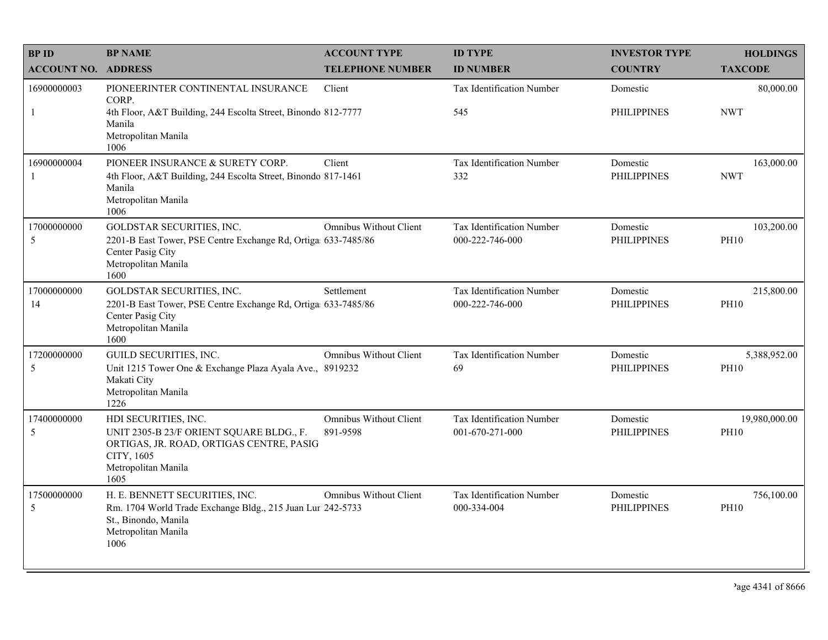| <b>BPID</b>        | <b>BP NAME</b>                                                                                                                                            | <b>ACCOUNT TYPE</b>                       | <b>ID TYPE</b>                               | <b>INVESTOR TYPE</b>           | <b>HOLDINGS</b>              |
|--------------------|-----------------------------------------------------------------------------------------------------------------------------------------------------------|-------------------------------------------|----------------------------------------------|--------------------------------|------------------------------|
| <b>ACCOUNT NO.</b> | <b>ADDRESS</b>                                                                                                                                            | <b>TELEPHONE NUMBER</b>                   | <b>ID NUMBER</b>                             | <b>COUNTRY</b>                 | <b>TAXCODE</b>               |
| 16900000003        | PIONEERINTER CONTINENTAL INSURANCE<br>CORP.                                                                                                               | Client                                    | <b>Tax Identification Number</b>             | Domestic                       | 80,000.00                    |
| $\mathbf{1}$       | 4th Floor, A&T Building, 244 Escolta Street, Binondo 812-7777<br>Manila<br>Metropolitan Manila<br>1006                                                    |                                           | 545                                          | PHILIPPINES                    | <b>NWT</b>                   |
| 16900000004        | PIONEER INSURANCE & SURETY CORP.<br>4th Floor, A&T Building, 244 Escolta Street, Binondo 817-1461<br>Manila<br>Metropolitan Manila<br>1006                | Client                                    | Tax Identification Number<br>332             | Domestic<br><b>PHILIPPINES</b> | 163,000.00<br><b>NWT</b>     |
| 17000000000<br>5   | GOLDSTAR SECURITIES, INC.<br>2201-B East Tower, PSE Centre Exchange Rd, Ortiga 633-7485/86<br>Center Pasig City<br>Metropolitan Manila<br>1600            | <b>Omnibus Without Client</b>             | Tax Identification Number<br>000-222-746-000 | Domestic<br><b>PHILIPPINES</b> | 103,200.00<br><b>PH10</b>    |
| 17000000000<br>14  | GOLDSTAR SECURITIES, INC.<br>2201-B East Tower, PSE Centre Exchange Rd, Ortiga 633-7485/86<br>Center Pasig City<br>Metropolitan Manila<br>1600            | Settlement                                | Tax Identification Number<br>000-222-746-000 | Domestic<br><b>PHILIPPINES</b> | 215,800.00<br><b>PH10</b>    |
| 17200000000<br>5   | GUILD SECURITIES, INC.<br>Unit 1215 Tower One & Exchange Plaza Ayala Ave., 8919232<br>Makati City<br>Metropolitan Manila<br>1226                          | <b>Omnibus Without Client</b>             | Tax Identification Number<br>69              | Domestic<br><b>PHILIPPINES</b> | 5,388,952.00<br><b>PH10</b>  |
| 17400000000<br>5   | HDI SECURITIES, INC.<br>UNIT 2305-B 23/F ORIENT SQUARE BLDG., F.<br>ORTIGAS, JR. ROAD, ORTIGAS CENTRE, PASIG<br>CITY, 1605<br>Metropolitan Manila<br>1605 | <b>Omnibus Without Client</b><br>891-9598 | Tax Identification Number<br>001-670-271-000 | Domestic<br><b>PHILIPPINES</b> | 19,980,000.00<br><b>PH10</b> |
| 17500000000<br>5   | H. E. BENNETT SECURITIES, INC.<br>Rm. 1704 World Trade Exchange Bldg., 215 Juan Lur 242-5733<br>St., Binondo, Manila<br>Metropolitan Manila<br>1006       | <b>Omnibus Without Client</b>             | Tax Identification Number<br>000-334-004     | Domestic<br><b>PHILIPPINES</b> | 756,100.00<br><b>PH10</b>    |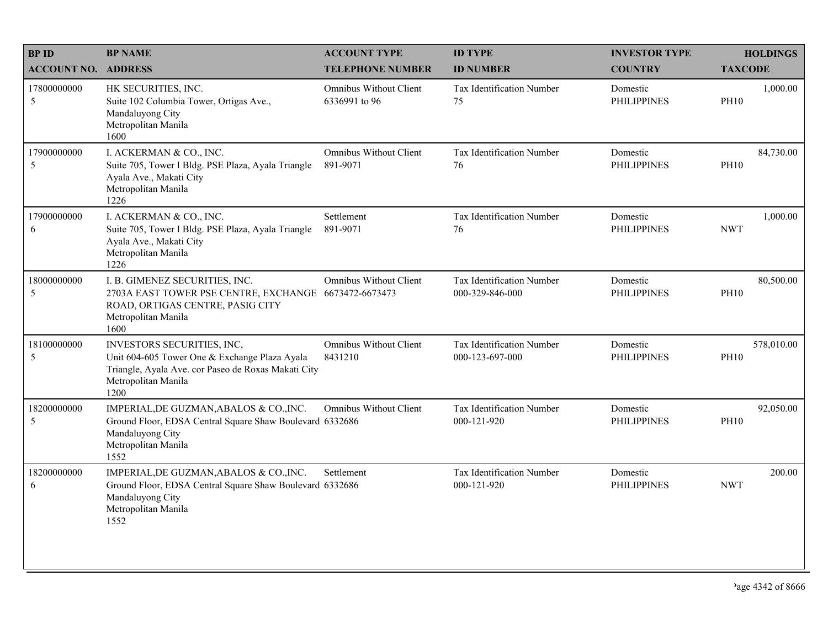| <b>BPID</b>                | <b>BP NAME</b>                                                                                                                                                    | <b>ACCOUNT TYPE</b>                            | <b>ID TYPE</b>                               | <b>INVESTOR TYPE</b>           | <b>HOLDINGS</b>           |
|----------------------------|-------------------------------------------------------------------------------------------------------------------------------------------------------------------|------------------------------------------------|----------------------------------------------|--------------------------------|---------------------------|
| <b>ACCOUNT NO. ADDRESS</b> |                                                                                                                                                                   | <b>TELEPHONE NUMBER</b>                        | <b>ID NUMBER</b>                             | <b>COUNTRY</b>                 | <b>TAXCODE</b>            |
| 17800000000<br>5           | HK SECURITIES, INC.<br>Suite 102 Columbia Tower, Ortigas Ave.,<br>Mandaluyong City<br>Metropolitan Manila<br>1600                                                 | <b>Omnibus Without Client</b><br>6336991 to 96 | <b>Tax Identification Number</b><br>75       | Domestic<br><b>PHILIPPINES</b> | 1,000.00<br><b>PH10</b>   |
| 17900000000<br>5           | I. ACKERMAN & CO., INC.<br>Suite 705, Tower I Bldg. PSE Plaza, Ayala Triangle<br>Ayala Ave., Makati City<br>Metropolitan Manila<br>1226                           | <b>Omnibus Without Client</b><br>891-9071      | Tax Identification Number<br>76              | Domestic<br><b>PHILIPPINES</b> | 84,730.00<br><b>PH10</b>  |
| 17900000000<br>6           | I. ACKERMAN & CO., INC.<br>Suite 705, Tower I Bldg. PSE Plaza, Ayala Triangle<br>Ayala Ave., Makati City<br>Metropolitan Manila<br>1226                           | Settlement<br>891-9071                         | Tax Identification Number<br>76              | Domestic<br><b>PHILIPPINES</b> | 1,000.00<br><b>NWT</b>    |
| 18000000000<br>5           | I. B. GIMENEZ SECURITIES, INC.<br>2703A EAST TOWER PSE CENTRE, EXCHANGE 6673472-6673473<br>ROAD, ORTIGAS CENTRE, PASIG CITY<br>Metropolitan Manila<br>1600        | <b>Omnibus Without Client</b>                  | Tax Identification Number<br>000-329-846-000 | Domestic<br><b>PHILIPPINES</b> | 80,500.00<br><b>PH10</b>  |
| 18100000000<br>5           | INVESTORS SECURITIES, INC,<br>Unit 604-605 Tower One & Exchange Plaza Ayala<br>Triangle, Ayala Ave. cor Paseo de Roxas Makati City<br>Metropolitan Manila<br>1200 | <b>Omnibus Without Client</b><br>8431210       | Tax Identification Number<br>000-123-697-000 | Domestic<br><b>PHILIPPINES</b> | 578,010.00<br><b>PH10</b> |
| 18200000000<br>5           | IMPERIAL, DE GUZMAN, ABALOS & CO., INC.<br>Ground Floor, EDSA Central Square Shaw Boulevard 6332686<br>Mandaluyong City<br>Metropolitan Manila<br>1552            | <b>Omnibus Without Client</b>                  | Tax Identification Number<br>000-121-920     | Domestic<br><b>PHILIPPINES</b> | 92,050.00<br><b>PH10</b>  |
| 18200000000<br>6           | IMPERIAL, DE GUZMAN, ABALOS & CO., INC.<br>Ground Floor, EDSA Central Square Shaw Boulevard 6332686<br>Mandaluyong City<br>Metropolitan Manila<br>1552            | Settlement                                     | Tax Identification Number<br>000-121-920     | Domestic<br><b>PHILIPPINES</b> | 200.00<br><b>NWT</b>      |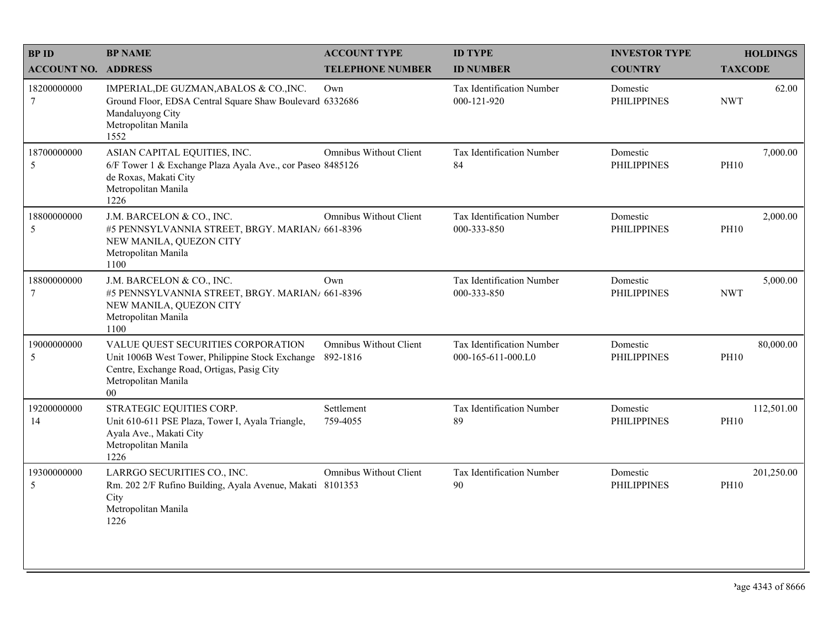| <b>BPID</b>                | <b>BP NAME</b>                                                                                                                                                        | <b>ACCOUNT TYPE</b>                       | <b>ID TYPE</b>                                  | <b>INVESTOR TYPE</b>           | <b>HOLDINGS</b>           |
|----------------------------|-----------------------------------------------------------------------------------------------------------------------------------------------------------------------|-------------------------------------------|-------------------------------------------------|--------------------------------|---------------------------|
| <b>ACCOUNT NO. ADDRESS</b> |                                                                                                                                                                       | <b>TELEPHONE NUMBER</b>                   | <b>ID NUMBER</b>                                | <b>COUNTRY</b>                 | <b>TAXCODE</b>            |
| 18200000000<br>$\tau$      | IMPERIAL, DE GUZMAN, ABALOS & CO., INC.<br>Ground Floor, EDSA Central Square Shaw Boulevard 6332686<br>Mandaluyong City<br>Metropolitan Manila<br>1552                | Own                                       | <b>Tax Identification Number</b><br>000-121-920 | Domestic<br><b>PHILIPPINES</b> | 62.00<br><b>NWT</b>       |
| 18700000000<br>5           | ASIAN CAPITAL EQUITIES, INC.<br>6/F Tower 1 & Exchange Plaza Ayala Ave., cor Paseo 8485126<br>de Roxas, Makati City<br>Metropolitan Manila<br>1226                    | Omnibus Without Client                    | Tax Identification Number<br>84                 | Domestic<br><b>PHILIPPINES</b> | 7,000.00<br><b>PH10</b>   |
| 18800000000<br>5           | J.M. BARCELON & CO., INC.<br>#5 PENNSYLVANNIA STREET, BRGY. MARIAN/ 661-8396<br>NEW MANILA, QUEZON CITY<br>Metropolitan Manila<br>1100                                | <b>Omnibus Without Client</b>             | Tax Identification Number<br>000-333-850        | Domestic<br><b>PHILIPPINES</b> | 2,000.00<br><b>PH10</b>   |
| 18800000000<br>$\tau$      | J.M. BARCELON & CO., INC.<br>#5 PENNSYLVANNIA STREET, BRGY. MARIAN/ 661-8396<br>NEW MANILA, QUEZON CITY<br>Metropolitan Manila<br>1100                                | Own                                       | Tax Identification Number<br>000-333-850        | Domestic<br><b>PHILIPPINES</b> | 5,000.00<br><b>NWT</b>    |
| 19000000000<br>5           | VALUE QUEST SECURITIES CORPORATION<br>Unit 1006B West Tower, Philippine Stock Exchange<br>Centre, Exchange Road, Ortigas, Pasig City<br>Metropolitan Manila<br>$00\,$ | <b>Omnibus Without Client</b><br>892-1816 | Tax Identification Number<br>000-165-611-000.L0 | Domestic<br><b>PHILIPPINES</b> | 80,000.00<br><b>PH10</b>  |
| 19200000000<br>14          | STRATEGIC EQUITIES CORP.<br>Unit 610-611 PSE Plaza, Tower I, Ayala Triangle,<br>Ayala Ave., Makati City<br>Metropolitan Manila<br>1226                                | Settlement<br>759-4055                    | Tax Identification Number<br>89                 | Domestic<br><b>PHILIPPINES</b> | 112,501.00<br><b>PH10</b> |
| 19300000000<br>5           | LARRGO SECURITIES CO., INC.<br>Rm. 202 2/F Rufino Building, Ayala Avenue, Makati 8101353<br>City<br>Metropolitan Manila<br>1226                                       | <b>Omnibus Without Client</b>             | Tax Identification Number<br>90                 | Domestic<br><b>PHILIPPINES</b> | 201,250.00<br><b>PH10</b> |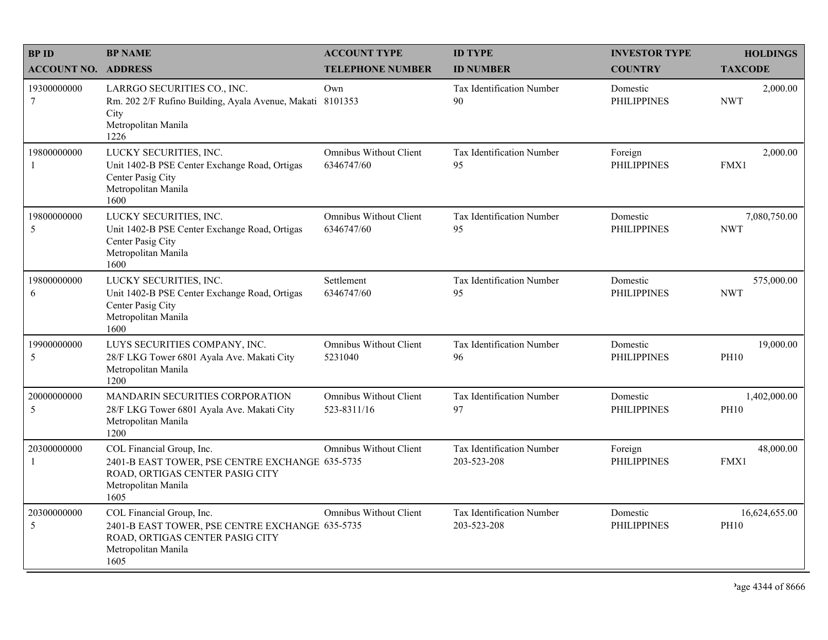| <b>BPID</b>                   | <b>BP NAME</b>                                                                                                                                 | <b>ACCOUNT TYPE</b>                         | <b>ID TYPE</b>                           | <b>INVESTOR TYPE</b>           | <b>HOLDINGS</b>              |
|-------------------------------|------------------------------------------------------------------------------------------------------------------------------------------------|---------------------------------------------|------------------------------------------|--------------------------------|------------------------------|
| <b>ACCOUNT NO. ADDRESS</b>    |                                                                                                                                                | <b>TELEPHONE NUMBER</b>                     | <b>ID NUMBER</b>                         | <b>COUNTRY</b>                 | <b>TAXCODE</b>               |
| 19300000000<br>7              | LARRGO SECURITIES CO., INC.<br>Rm. 202 2/F Rufino Building, Ayala Avenue, Makati 8101353<br>City<br>Metropolitan Manila<br>1226                | Own                                         | <b>Tax Identification Number</b><br>90   | Domestic<br><b>PHILIPPINES</b> | 2,000.00<br><b>NWT</b>       |
| 19800000000<br>-1             | LUCKY SECURITIES, INC.<br>Unit 1402-B PSE Center Exchange Road, Ortigas<br>Center Pasig City<br>Metropolitan Manila<br>1600                    | <b>Omnibus Without Client</b><br>6346747/60 | Tax Identification Number<br>95          | Foreign<br><b>PHILIPPINES</b>  | 2,000.00<br>FMX1             |
| 19800000000<br>5              | LUCKY SECURITIES, INC.<br>Unit 1402-B PSE Center Exchange Road, Ortigas<br>Center Pasig City<br>Metropolitan Manila<br>1600                    | <b>Omnibus Without Client</b><br>6346747/60 | <b>Tax Identification Number</b><br>95   | Domestic<br><b>PHILIPPINES</b> | 7,080,750.00<br><b>NWT</b>   |
| 19800000000<br>6              | LUCKY SECURITIES, INC.<br>Unit 1402-B PSE Center Exchange Road, Ortigas<br>Center Pasig City<br>Metropolitan Manila<br>1600                    | Settlement<br>6346747/60                    | Tax Identification Number<br>95          | Domestic<br><b>PHILIPPINES</b> | 575,000.00<br><b>NWT</b>     |
| 19900000000<br>5              | LUYS SECURITIES COMPANY, INC.<br>28/F LKG Tower 6801 Ayala Ave. Makati City<br>Metropolitan Manila<br>1200                                     | <b>Omnibus Without Client</b><br>5231040    | Tax Identification Number<br>96          | Domestic<br><b>PHILIPPINES</b> | 19,000.00<br><b>PH10</b>     |
| 20000000000<br>5              | MANDARIN SECURITIES CORPORATION<br>28/F LKG Tower 6801 Ayala Ave. Makati City<br>Metropolitan Manila<br>1200                                   | Omnibus Without Client<br>523-8311/16       | Tax Identification Number<br>97          | Domestic<br><b>PHILIPPINES</b> | 1,402,000.00<br><b>PH10</b>  |
| 20300000000<br>$\overline{1}$ | COL Financial Group, Inc.<br>2401-B EAST TOWER, PSE CENTRE EXCHANGE 635-5735<br>ROAD, ORTIGAS CENTER PASIG CITY<br>Metropolitan Manila<br>1605 | Omnibus Without Client                      | Tax Identification Number<br>203-523-208 | Foreign<br><b>PHILIPPINES</b>  | 48,000.00<br>FMX1            |
| 20300000000<br>5              | COL Financial Group, Inc.<br>2401-B EAST TOWER, PSE CENTRE EXCHANGE 635-5735<br>ROAD, ORTIGAS CENTER PASIG CITY<br>Metropolitan Manila<br>1605 | <b>Omnibus Without Client</b>               | Tax Identification Number<br>203-523-208 | Domestic<br><b>PHILIPPINES</b> | 16,624,655.00<br><b>PH10</b> |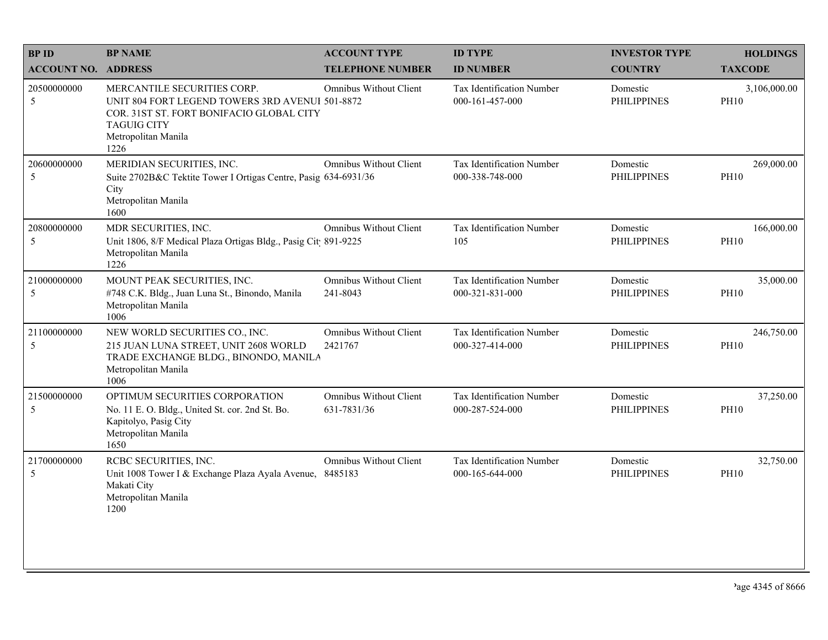| <b>BP NAME</b>                                                                                                                            | <b>ACCOUNT TYPE</b>                          | <b>ID TYPE</b>                                                                                                                                                                                                                                                                                                                        | <b>INVESTOR TYPE</b>           | <b>HOLDINGS</b>             |
|-------------------------------------------------------------------------------------------------------------------------------------------|----------------------------------------------|---------------------------------------------------------------------------------------------------------------------------------------------------------------------------------------------------------------------------------------------------------------------------------------------------------------------------------------|--------------------------------|-----------------------------|
| <b>ACCOUNT NO. ADDRESS</b>                                                                                                                | <b>TELEPHONE NUMBER</b>                      | <b>ID NUMBER</b>                                                                                                                                                                                                                                                                                                                      | <b>COUNTRY</b>                 | <b>TAXCODE</b>              |
| MERCANTILE SECURITIES CORP.<br><b>TAGUIG CITY</b><br>Metropolitan Manila<br>1226                                                          | Omnibus Without Client                       | Tax Identification Number<br>000-161-457-000                                                                                                                                                                                                                                                                                          | Domestic<br><b>PHILIPPINES</b> | 3,106,000.00<br><b>PH10</b> |
| MERIDIAN SECURITIES, INC.<br>City<br>Metropolitan Manila<br>1600                                                                          | Omnibus Without Client                       | Tax Identification Number<br>000-338-748-000                                                                                                                                                                                                                                                                                          | Domestic<br><b>PHILIPPINES</b> | 269,000.00<br><b>PH10</b>   |
| MDR SECURITIES, INC.<br>Metropolitan Manila<br>1226                                                                                       | <b>Omnibus Without Client</b>                | Tax Identification Number<br>105                                                                                                                                                                                                                                                                                                      | Domestic<br><b>PHILIPPINES</b> | 166,000.00<br><b>PH10</b>   |
| MOUNT PEAK SECURITIES, INC.<br>#748 C.K. Bldg., Juan Luna St., Binondo, Manila<br>Metropolitan Manila<br>1006                             | <b>Omnibus Without Client</b><br>241-8043    | Tax Identification Number<br>000-321-831-000                                                                                                                                                                                                                                                                                          | Domestic<br><b>PHILIPPINES</b> | 35,000.00<br><b>PH10</b>    |
| NEW WORLD SECURITIES CO., INC.<br>215 JUAN LUNA STREET, UNIT 2608 WORLD<br>Metropolitan Manila<br>1006                                    | <b>Omnibus Without Client</b><br>2421767     | Tax Identification Number<br>000-327-414-000                                                                                                                                                                                                                                                                                          | Domestic<br><b>PHILIPPINES</b> | 246,750.00<br><b>PH10</b>   |
| OPTIMUM SECURITIES CORPORATION<br>No. 11 E. O. Bldg., United St. cor. 2nd St. Bo.<br>Kapitolyo, Pasig City<br>Metropolitan Manila<br>1650 | <b>Omnibus Without Client</b><br>631-7831/36 | Tax Identification Number<br>000-287-524-000                                                                                                                                                                                                                                                                                          | Domestic<br><b>PHILIPPINES</b> | 37,250.00<br><b>PH10</b>    |
| RCBC SECURITIES, INC.<br>Makati City<br>Metropolitan Manila<br>1200                                                                       | Omnibus Without Client                       | Tax Identification Number<br>000-165-644-000                                                                                                                                                                                                                                                                                          | Domestic<br><b>PHILIPPINES</b> | 32,750.00<br><b>PH10</b>    |
|                                                                                                                                           |                                              | UNIT 804 FORT LEGEND TOWERS 3RD AVENUI 501-8872<br>COR. 31ST ST. FORT BONIFACIO GLOBAL CITY<br>Suite 2702B&C Tektite Tower I Ortigas Centre, Pasig 634-6931/36<br>Unit 1806, 8/F Medical Plaza Ortigas Bldg., Pasig Cit 891-9225<br>TRADE EXCHANGE BLDG., BINONDO, MANILA<br>Unit 1008 Tower I & Exchange Plaza Ayala Avenue, 8485183 |                                |                             |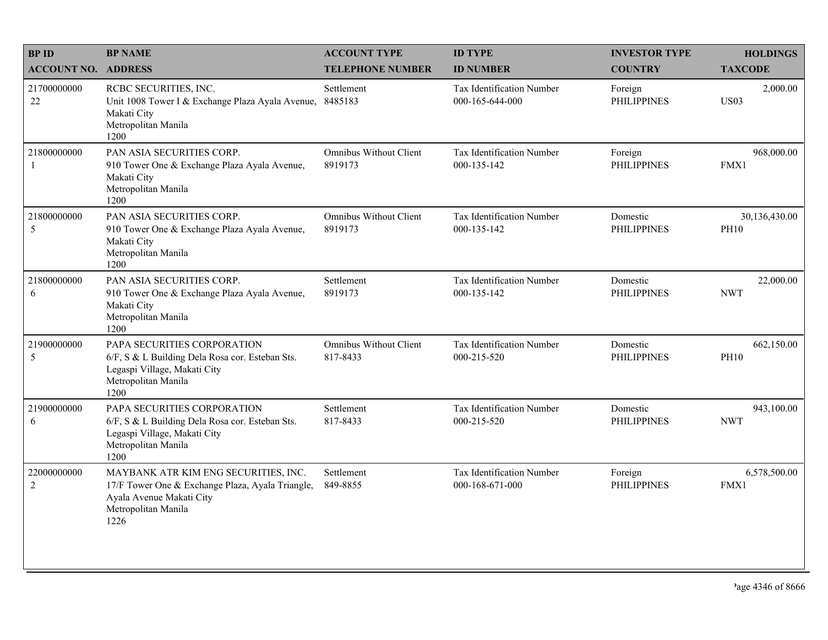| <b>BPID</b>                   | <b>BP NAME</b>                                                                                                                                      | <b>ACCOUNT TYPE</b>                      | <b>ID TYPE</b>                               | <b>INVESTOR TYPE</b>           | <b>HOLDINGS</b>              |
|-------------------------------|-----------------------------------------------------------------------------------------------------------------------------------------------------|------------------------------------------|----------------------------------------------|--------------------------------|------------------------------|
| <b>ACCOUNT NO. ADDRESS</b>    |                                                                                                                                                     | <b>TELEPHONE NUMBER</b>                  | <b>ID NUMBER</b>                             | <b>COUNTRY</b>                 | <b>TAXCODE</b>               |
| 21700000000<br>$22\,$         | RCBC SECURITIES, INC.<br>Unit 1008 Tower I & Exchange Plaza Ayala Avenue,<br>Makati City<br>Metropolitan Manila<br>1200                             | Settlement<br>8485183                    | Tax Identification Number<br>000-165-644-000 | Foreign<br><b>PHILIPPINES</b>  | 2,000.00<br><b>US03</b>      |
| 21800000000<br>$\overline{1}$ | PAN ASIA SECURITIES CORP.<br>910 Tower One & Exchange Plaza Ayala Avenue,<br>Makati City<br>Metropolitan Manila<br>1200                             | <b>Omnibus Without Client</b><br>8919173 | Tax Identification Number<br>000-135-142     | Foreign<br><b>PHILIPPINES</b>  | 968,000.00<br>FMX1           |
| 21800000000<br>5              | PAN ASIA SECURITIES CORP.<br>910 Tower One & Exchange Plaza Ayala Avenue,<br>Makati City<br>Metropolitan Manila<br>1200                             | <b>Omnibus Without Client</b><br>8919173 | Tax Identification Number<br>000-135-142     | Domestic<br><b>PHILIPPINES</b> | 30,136,430.00<br><b>PH10</b> |
| 21800000000<br>6              | PAN ASIA SECURITIES CORP.<br>910 Tower One & Exchange Plaza Ayala Avenue,<br>Makati City<br>Metropolitan Manila<br>1200                             | Settlement<br>8919173                    | Tax Identification Number<br>000-135-142     | Domestic<br><b>PHILIPPINES</b> | 22,000.00<br><b>NWT</b>      |
| 21900000000<br>5              | PAPA SECURITIES CORPORATION<br>6/F, S & L Building Dela Rosa cor. Esteban Sts.<br>Legaspi Village, Makati City<br>Metropolitan Manila<br>1200       | Omnibus Without Client<br>817-8433       | Tax Identification Number<br>000-215-520     | Domestic<br><b>PHILIPPINES</b> | 662,150.00<br><b>PH10</b>    |
| 21900000000<br>6              | PAPA SECURITIES CORPORATION<br>6/F, S & L Building Dela Rosa cor. Esteban Sts.<br>Legaspi Village, Makati City<br>Metropolitan Manila<br>1200       | Settlement<br>817-8433                   | Tax Identification Number<br>000-215-520     | Domestic<br><b>PHILIPPINES</b> | 943,100.00<br><b>NWT</b>     |
| 22000000000<br>$\overline{2}$ | MAYBANK ATR KIM ENG SECURITIES, INC.<br>17/F Tower One & Exchange Plaza, Ayala Triangle,<br>Ayala Avenue Makati City<br>Metropolitan Manila<br>1226 | Settlement<br>849-8855                   | Tax Identification Number<br>000-168-671-000 | Foreign<br><b>PHILIPPINES</b>  | 6,578,500.00<br>FMX1         |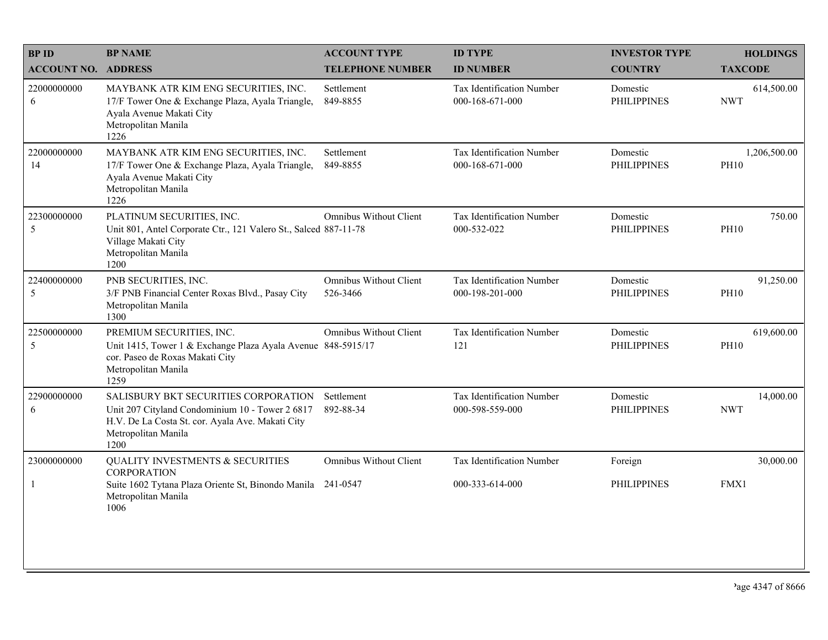| <b>BPID</b>                | <b>BP NAME</b>                                                                                                                                                             | <b>ACCOUNT TYPE</b>                       | <b>ID TYPE</b>                               | <b>INVESTOR TYPE</b>           | <b>HOLDINGS</b>             |
|----------------------------|----------------------------------------------------------------------------------------------------------------------------------------------------------------------------|-------------------------------------------|----------------------------------------------|--------------------------------|-----------------------------|
| <b>ACCOUNT NO. ADDRESS</b> |                                                                                                                                                                            | <b>TELEPHONE NUMBER</b>                   | <b>ID NUMBER</b>                             | <b>COUNTRY</b>                 | <b>TAXCODE</b>              |
| 22000000000<br>6           | MAYBANK ATR KIM ENG SECURITIES, INC.<br>17/F Tower One & Exchange Plaza, Ayala Triangle,<br>Ayala Avenue Makati City<br>Metropolitan Manila<br>1226                        | Settlement<br>849-8855                    | Tax Identification Number<br>000-168-671-000 | Domestic<br><b>PHILIPPINES</b> | 614,500.00<br><b>NWT</b>    |
| 22000000000<br>14          | MAYBANK ATR KIM ENG SECURITIES, INC.<br>17/F Tower One & Exchange Plaza, Ayala Triangle,<br>Ayala Avenue Makati City<br>Metropolitan Manila<br>1226                        | Settlement<br>849-8855                    | Tax Identification Number<br>000-168-671-000 | Domestic<br><b>PHILIPPINES</b> | 1,206,500.00<br><b>PH10</b> |
| 22300000000<br>5           | PLATINUM SECURITIES, INC.<br>Unit 801, Antel Corporate Ctr., 121 Valero St., Salced 887-11-78<br>Village Makati City<br>Metropolitan Manila<br>1200                        | <b>Omnibus Without Client</b>             | Tax Identification Number<br>000-532-022     | Domestic<br><b>PHILIPPINES</b> | 750.00<br><b>PH10</b>       |
| 22400000000<br>5           | PNB SECURITIES, INC.<br>3/F PNB Financial Center Roxas Blvd., Pasay City<br>Metropolitan Manila<br>1300                                                                    | <b>Omnibus Without Client</b><br>526-3466 | Tax Identification Number<br>000-198-201-000 | Domestic<br><b>PHILIPPINES</b> | 91,250.00<br><b>PH10</b>    |
| 22500000000<br>5           | PREMIUM SECURITIES, INC.<br>Unit 1415, Tower 1 & Exchange Plaza Ayala Avenue 848-5915/17<br>cor. Paseo de Roxas Makati City<br>Metropolitan Manila<br>1259                 | <b>Omnibus Without Client</b>             | Tax Identification Number<br>121             | Domestic<br><b>PHILIPPINES</b> | 619,600.00<br><b>PH10</b>   |
| 22900000000<br>6           | SALISBURY BKT SECURITIES CORPORATION<br>Unit 207 Cityland Condominium 10 - Tower 2 6817<br>H.V. De La Costa St. cor. Ayala Ave. Makati City<br>Metropolitan Manila<br>1200 | Settlement<br>892-88-34                   | Tax Identification Number<br>000-598-559-000 | Domestic<br><b>PHILIPPINES</b> | 14,000.00<br><b>NWT</b>     |
| 23000000000                | <b>QUALITY INVESTMENTS &amp; SECURITIES</b>                                                                                                                                | <b>Omnibus Without Client</b>             | Tax Identification Number                    | Foreign                        | 30,000.00                   |
| -1                         | <b>CORPORATION</b><br>Suite 1602 Tytana Plaza Oriente St, Binondo Manila 241-0547<br>Metropolitan Manila<br>1006                                                           |                                           | 000-333-614-000                              | <b>PHILIPPINES</b>             | FMX1                        |
|                            |                                                                                                                                                                            |                                           |                                              |                                |                             |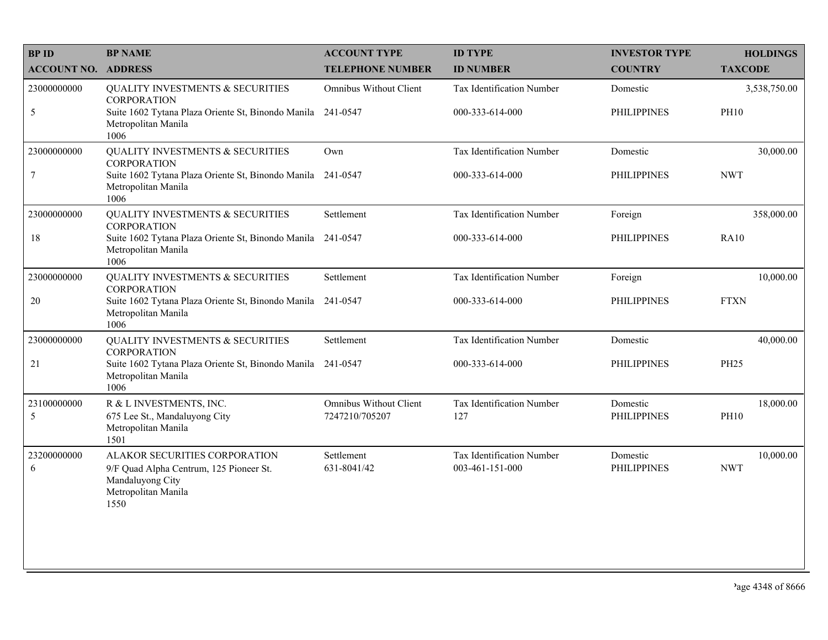| <b>BPID</b>                | <b>BP NAME</b>                                                                                                              | <b>ACCOUNT TYPE</b>                             | <b>ID TYPE</b>                               | <b>INVESTOR TYPE</b>           | <b>HOLDINGS</b>          |
|----------------------------|-----------------------------------------------------------------------------------------------------------------------------|-------------------------------------------------|----------------------------------------------|--------------------------------|--------------------------|
| <b>ACCOUNT NO. ADDRESS</b> |                                                                                                                             | <b>TELEPHONE NUMBER</b>                         | <b>ID NUMBER</b>                             | <b>COUNTRY</b>                 | <b>TAXCODE</b>           |
| 23000000000                | QUALITY INVESTMENTS & SECURITIES<br><b>CORPORATION</b>                                                                      | <b>Omnibus Without Client</b>                   | Tax Identification Number                    | Domestic                       | 3,538,750.00             |
| 5                          | Suite 1602 Tytana Plaza Oriente St, Binondo Manila 241-0547<br>Metropolitan Manila<br>1006                                  |                                                 | 000-333-614-000                              | <b>PHILIPPINES</b>             | <b>PH10</b>              |
| 23000000000                | <b>QUALITY INVESTMENTS &amp; SECURITIES</b><br><b>CORPORATION</b>                                                           | Own                                             | Tax Identification Number                    | Domestic                       | 30,000.00                |
| $\boldsymbol{7}$           | Suite 1602 Tytana Plaza Oriente St, Binondo Manila 241-0547<br>Metropolitan Manila<br>1006                                  |                                                 | 000-333-614-000                              | PHILIPPINES                    | <b>NWT</b>               |
| 23000000000                | <b>QUALITY INVESTMENTS &amp; SECURITIES</b><br><b>CORPORATION</b>                                                           | Settlement                                      | Tax Identification Number                    | Foreign                        | 358,000.00               |
| 18                         | Suite 1602 Tytana Plaza Oriente St, Binondo Manila 241-0547<br>Metropolitan Manila<br>1006                                  |                                                 | 000-333-614-000                              | <b>PHILIPPINES</b>             | <b>RA10</b>              |
| 23000000000                | QUALITY INVESTMENTS & SECURITIES<br><b>CORPORATION</b>                                                                      | Settlement                                      | Tax Identification Number                    | Foreign                        | 10,000.00                |
| 20                         | Suite 1602 Tytana Plaza Oriente St, Binondo Manila<br>Metropolitan Manila<br>1006                                           | 241-0547                                        | 000-333-614-000                              | <b>PHILIPPINES</b>             | <b>FTXN</b>              |
| 23000000000                | QUALITY INVESTMENTS & SECURITIES<br><b>CORPORATION</b>                                                                      | Settlement                                      | Tax Identification Number                    | Domestic                       | 40,000.00                |
| 21                         | Suite 1602 Tytana Plaza Oriente St, Binondo Manila 241-0547<br>Metropolitan Manila<br>1006                                  |                                                 | 000-333-614-000                              | <b>PHILIPPINES</b>             | <b>PH25</b>              |
| 23100000000<br>5           | R & L INVESTMENTS, INC.<br>675 Lee St., Mandaluyong City<br>Metropolitan Manila<br>1501                                     | <b>Omnibus Without Client</b><br>7247210/705207 | Tax Identification Number<br>127             | Domestic<br><b>PHILIPPINES</b> | 18,000.00<br><b>PH10</b> |
| 23200000000<br>6           | ALAKOR SECURITIES CORPORATION<br>9/F Quad Alpha Centrum, 125 Pioneer St.<br>Mandaluyong City<br>Metropolitan Manila<br>1550 | Settlement<br>631-8041/42                       | Tax Identification Number<br>003-461-151-000 | Domestic<br><b>PHILIPPINES</b> | 10,000.00<br><b>NWT</b>  |
|                            |                                                                                                                             |                                                 |                                              |                                |                          |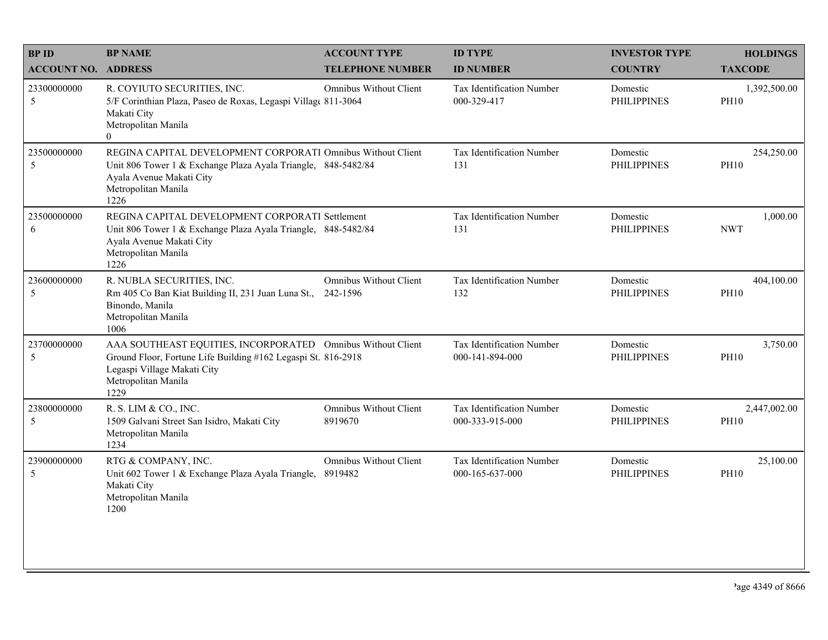| <b>BPID</b>                | <b>BP NAME</b>                                                                                                                                                                             | <b>ACCOUNT TYPE</b>                      | <b>ID TYPE</b>                               | <b>INVESTOR TYPE</b>           | <b>HOLDINGS</b>             |
|----------------------------|--------------------------------------------------------------------------------------------------------------------------------------------------------------------------------------------|------------------------------------------|----------------------------------------------|--------------------------------|-----------------------------|
| <b>ACCOUNT NO. ADDRESS</b> |                                                                                                                                                                                            | <b>TELEPHONE NUMBER</b>                  | <b>ID NUMBER</b>                             | <b>COUNTRY</b>                 | <b>TAXCODE</b>              |
| 23300000000<br>5           | R. COYIUTO SECURITIES, INC.<br>5/F Corinthian Plaza, Paseo de Roxas, Legaspi Village 811-3064<br>Makati City<br>Metropolitan Manila<br>$\Omega$                                            | Omnibus Without Client                   | Tax Identification Number<br>000-329-417     | Domestic<br><b>PHILIPPINES</b> | 1,392,500.00<br><b>PH10</b> |
| 23500000000<br>5           | REGINA CAPITAL DEVELOPMENT CORPORATI Omnibus Without Client<br>Unit 806 Tower 1 & Exchange Plaza Ayala Triangle, 848-5482/84<br>Ayala Avenue Makati City<br>Metropolitan Manila<br>1226    |                                          | Tax Identification Number<br>131             | Domestic<br><b>PHILIPPINES</b> | 254,250.00<br><b>PH10</b>   |
| 23500000000<br>6           | REGINA CAPITAL DEVELOPMENT CORPORATI Settlement<br>Unit 806 Tower 1 & Exchange Plaza Ayala Triangle, 848-5482/84<br>Ayala Avenue Makati City<br>Metropolitan Manila<br>1226                |                                          | Tax Identification Number<br>131             | Domestic<br><b>PHILIPPINES</b> | 1,000.00<br><b>NWT</b>      |
| 23600000000<br>5           | R. NUBLA SECURITIES, INC.<br>Rm 405 Co Ban Kiat Building II, 231 Juan Luna St.,<br>Binondo, Manila<br>Metropolitan Manila<br>1006                                                          | Omnibus Without Client<br>242-1596       | Tax Identification Number<br>132             | Domestic<br><b>PHILIPPINES</b> | 404,100.00<br><b>PH10</b>   |
| 23700000000<br>5           | AAA SOUTHEAST EQUITIES, INCORPORATED Omnibus Without Client<br>Ground Floor, Fortune Life Building #162 Legaspi St. 816-2918<br>Legaspi Village Makati City<br>Metropolitan Manila<br>1229 |                                          | Tax Identification Number<br>000-141-894-000 | Domestic<br><b>PHILIPPINES</b> | 3,750.00<br><b>PH10</b>     |
| 23800000000<br>5           | R. S. LIM & CO., INC.<br>1509 Galvani Street San Isidro, Makati City<br>Metropolitan Manila<br>1234                                                                                        | <b>Omnibus Without Client</b><br>8919670 | Tax Identification Number<br>000-333-915-000 | Domestic<br><b>PHILIPPINES</b> | 2,447,002.00<br><b>PH10</b> |
| 23900000000<br>5           | RTG & COMPANY, INC.<br>Unit 602 Tower 1 & Exchange Plaza Ayala Triangle,<br>Makati City<br>Metropolitan Manila<br>1200                                                                     | <b>Omnibus Without Client</b><br>8919482 | Tax Identification Number<br>000-165-637-000 | Domestic<br><b>PHILIPPINES</b> | 25,100.00<br><b>PH10</b>    |
|                            |                                                                                                                                                                                            |                                          |                                              |                                |                             |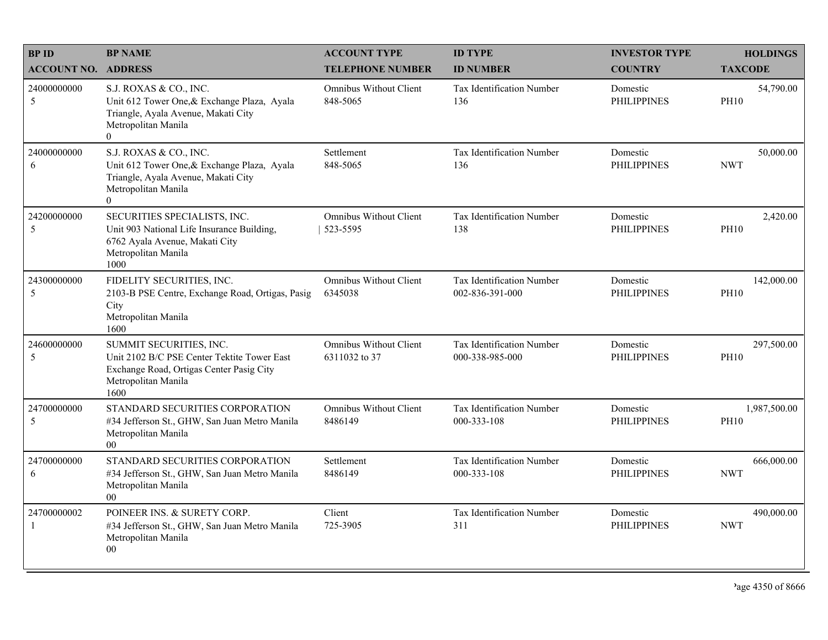| <b>BPID</b>                   | <b>BP NAME</b>                                                                                                                                        | <b>ACCOUNT TYPE</b>                            | <b>ID TYPE</b>                               | <b>INVESTOR TYPE</b>           | <b>HOLDINGS</b>             |
|-------------------------------|-------------------------------------------------------------------------------------------------------------------------------------------------------|------------------------------------------------|----------------------------------------------|--------------------------------|-----------------------------|
| <b>ACCOUNT NO. ADDRESS</b>    |                                                                                                                                                       | <b>TELEPHONE NUMBER</b>                        | <b>ID NUMBER</b>                             | <b>COUNTRY</b>                 | <b>TAXCODE</b>              |
| 24000000000<br>5              | S.J. ROXAS & CO., INC.<br>Unit 612 Tower One, & Exchange Plaza, Ayala<br>Triangle, Ayala Avenue, Makati City<br>Metropolitan Manila<br>$\overline{0}$ | <b>Omnibus Without Client</b><br>848-5065      | Tax Identification Number<br>136             | Domestic<br><b>PHILIPPINES</b> | 54,790.00<br><b>PH10</b>    |
| 24000000000<br>6              | S.J. ROXAS & CO., INC.<br>Unit 612 Tower One, & Exchange Plaza, Ayala<br>Triangle, Ayala Avenue, Makati City<br>Metropolitan Manila<br>$\overline{0}$ | Settlement<br>848-5065                         | Tax Identification Number<br>136             | Domestic<br><b>PHILIPPINES</b> | 50,000.00<br><b>NWT</b>     |
| 24200000000<br>5              | SECURITIES SPECIALISTS, INC.<br>Unit 903 National Life Insurance Building,<br>6762 Ayala Avenue, Makati City<br>Metropolitan Manila<br>1000           | <b>Omnibus Without Client</b><br>523-5595      | Tax Identification Number<br>138             | Domestic<br><b>PHILIPPINES</b> | 2,420.00<br><b>PH10</b>     |
| 24300000000<br>5              | FIDELITY SECURITIES, INC.<br>2103-B PSE Centre, Exchange Road, Ortigas, Pasig<br>City<br>Metropolitan Manila<br>1600                                  | <b>Omnibus Without Client</b><br>6345038       | Tax Identification Number<br>002-836-391-000 | Domestic<br><b>PHILIPPINES</b> | 142,000.00<br><b>PH10</b>   |
| 24600000000<br>5              | SUMMIT SECURITIES, INC.<br>Unit 2102 B/C PSE Center Tektite Tower East<br>Exchange Road, Ortigas Center Pasig City<br>Metropolitan Manila<br>1600     | <b>Omnibus Without Client</b><br>6311032 to 37 | Tax Identification Number<br>000-338-985-000 | Domestic<br><b>PHILIPPINES</b> | 297,500.00<br><b>PH10</b>   |
| 24700000000<br>5              | STANDARD SECURITIES CORPORATION<br>#34 Jefferson St., GHW, San Juan Metro Manila<br>Metropolitan Manila<br>00                                         | <b>Omnibus Without Client</b><br>8486149       | Tax Identification Number<br>000-333-108     | Domestic<br><b>PHILIPPINES</b> | 1,987,500.00<br><b>PH10</b> |
| 24700000000<br>6              | STANDARD SECURITIES CORPORATION<br>#34 Jefferson St., GHW, San Juan Metro Manila<br>Metropolitan Manila<br>00                                         | Settlement<br>8486149                          | Tax Identification Number<br>000-333-108     | Domestic<br><b>PHILIPPINES</b> | 666,000.00<br><b>NWT</b>    |
| 24700000002<br>$\overline{1}$ | POINEER INS. & SURETY CORP.<br>#34 Jefferson St., GHW, San Juan Metro Manila<br>Metropolitan Manila<br>00                                             | Client<br>725-3905                             | Tax Identification Number<br>311             | Domestic<br><b>PHILIPPINES</b> | 490,000.00<br><b>NWT</b>    |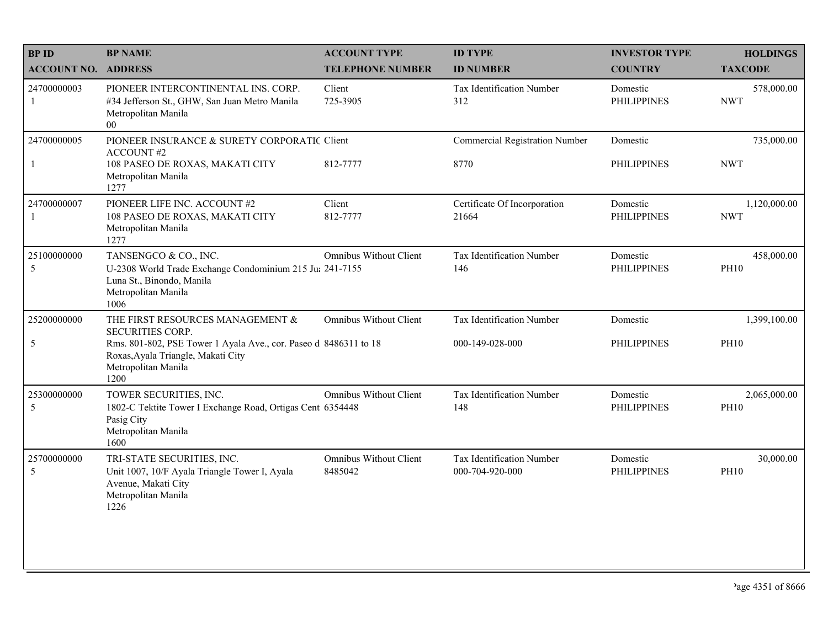| <b>BPID</b>                 | <b>BP NAME</b>                                                                                                                                | <b>ACCOUNT TYPE</b>                      | <b>ID TYPE</b>                                | <b>INVESTOR TYPE</b>           | <b>HOLDINGS</b>             |
|-----------------------------|-----------------------------------------------------------------------------------------------------------------------------------------------|------------------------------------------|-----------------------------------------------|--------------------------------|-----------------------------|
| <b>ACCOUNT NO. ADDRESS</b>  |                                                                                                                                               | <b>TELEPHONE NUMBER</b>                  | <b>ID NUMBER</b>                              | <b>COUNTRY</b>                 | <b>TAXCODE</b>              |
| 24700000003<br>$\mathbf{1}$ | PIONEER INTERCONTINENTAL INS. CORP.<br>#34 Jefferson St., GHW, San Juan Metro Manila<br>Metropolitan Manila<br>00 <sup>1</sup>                | Client<br>725-3905                       | <b>Tax Identification Number</b><br>312       | Domestic<br><b>PHILIPPINES</b> | 578,000.00<br><b>NWT</b>    |
| 24700000005<br>$\mathbf{1}$ | PIONEER INSURANCE & SURETY CORPORATIC Client<br><b>ACCOUNT#2</b><br>108 PASEO DE ROXAS, MAKATI CITY                                           | 812-7777                                 | <b>Commercial Registration Number</b><br>8770 | Domestic<br><b>PHILIPPINES</b> | 735,000.00<br><b>NWT</b>    |
|                             | Metropolitan Manila<br>1277                                                                                                                   |                                          |                                               |                                |                             |
| 24700000007<br>1            | PIONEER LIFE INC. ACCOUNT #2<br>108 PASEO DE ROXAS, MAKATI CITY<br>Metropolitan Manila<br>1277                                                | Client<br>812-7777                       | Certificate Of Incorporation<br>21664         | Domestic<br><b>PHILIPPINES</b> | 1,120,000.00<br><b>NWT</b>  |
| 25100000000<br>5            | TANSENGCO & CO., INC.<br>U-2308 World Trade Exchange Condominium 215 Ju: 241-7155<br>Luna St., Binondo, Manila<br>Metropolitan Manila<br>1006 | <b>Omnibus Without Client</b>            | Tax Identification Number<br>146              | Domestic<br><b>PHILIPPINES</b> | 458,000.00<br><b>PH10</b>   |
| 25200000000                 | THE FIRST RESOURCES MANAGEMENT &<br><b>SECURITIES CORP.</b>                                                                                   | <b>Omnibus Without Client</b>            | Tax Identification Number                     | Domestic                       | 1,399,100.00                |
| 5                           | Rms. 801-802, PSE Tower 1 Ayala Ave., cor. Paseo d 8486311 to 18<br>Roxas, Ayala Triangle, Makati City<br>Metropolitan Manila<br>1200         |                                          | 000-149-028-000                               | <b>PHILIPPINES</b>             | <b>PH10</b>                 |
| 25300000000<br>5            | TOWER SECURITIES, INC.<br>1802-C Tektite Tower I Exchange Road, Ortigas Cent 6354448<br>Pasig City<br>Metropolitan Manila<br>1600             | <b>Omnibus Without Client</b>            | Tax Identification Number<br>148              | Domestic<br><b>PHILIPPINES</b> | 2,065,000.00<br><b>PH10</b> |
| 25700000000<br>5            | TRI-STATE SECURITIES, INC.<br>Unit 1007, 10/F Ayala Triangle Tower I, Ayala<br>Avenue, Makati City<br>Metropolitan Manila<br>1226             | <b>Omnibus Without Client</b><br>8485042 | Tax Identification Number<br>000-704-920-000  | Domestic<br><b>PHILIPPINES</b> | 30,000.00<br><b>PH10</b>    |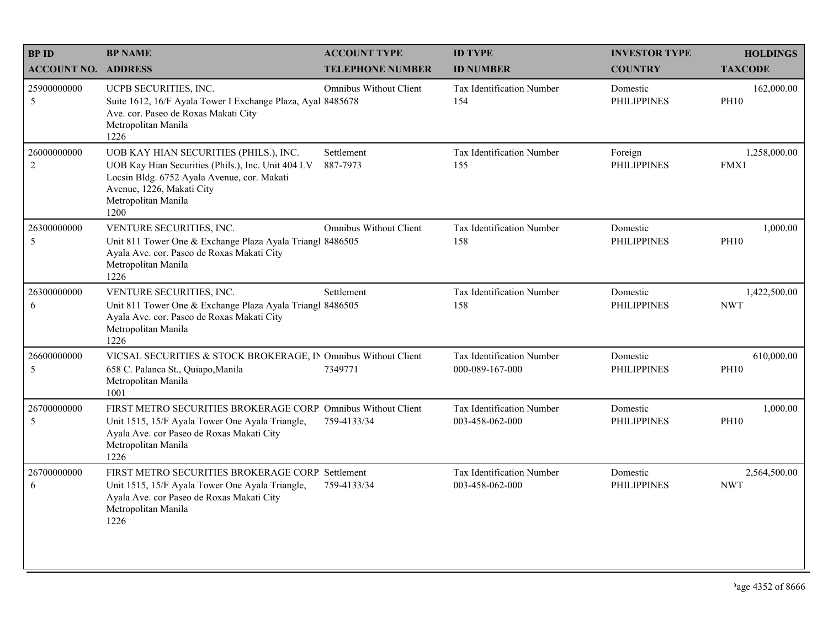| <b>BPID</b>                   | <b>BP NAME</b>                                                                                                                                                                                          | <b>ACCOUNT TYPE</b>           | <b>ID TYPE</b>                                      | <b>INVESTOR TYPE</b>           | <b>HOLDINGS</b>            |
|-------------------------------|---------------------------------------------------------------------------------------------------------------------------------------------------------------------------------------------------------|-------------------------------|-----------------------------------------------------|--------------------------------|----------------------------|
| <b>ACCOUNT NO. ADDRESS</b>    |                                                                                                                                                                                                         | <b>TELEPHONE NUMBER</b>       | <b>ID NUMBER</b>                                    | <b>COUNTRY</b>                 | <b>TAXCODE</b>             |
| 25900000000<br>5              | UCPB SECURITIES, INC.<br>Suite 1612, 16/F Ayala Tower I Exchange Plaza, Ayal 8485678<br>Ave. cor. Paseo de Roxas Makati City<br>Metropolitan Manila<br>1226                                             | Omnibus Without Client        | Tax Identification Number<br>154                    | Domestic<br><b>PHILIPPINES</b> | 162,000.00<br><b>PH10</b>  |
| 26000000000<br>$\overline{2}$ | UOB KAY HIAN SECURITIES (PHILS.), INC.<br>UOB Kay Hian Securities (Phils.), Inc. Unit 404 LV<br>Locsin Bldg. 6752 Ayala Avenue, cor. Makati<br>Avenue, 1226, Makati City<br>Metropolitan Manila<br>1200 | Settlement<br>887-7973        | Tax Identification Number<br>155                    | Foreign<br><b>PHILIPPINES</b>  | 1,258,000.00<br>FMX1       |
| 26300000000<br>5              | VENTURE SECURITIES, INC.<br>Unit 811 Tower One & Exchange Plaza Ayala Triangl 8486505<br>Ayala Ave. cor. Paseo de Roxas Makati City<br>Metropolitan Manila<br>1226                                      | <b>Omnibus Without Client</b> | Tax Identification Number<br>158                    | Domestic<br><b>PHILIPPINES</b> | 1,000.00<br><b>PH10</b>    |
| 26300000000<br>6              | VENTURE SECURITIES, INC.<br>Unit 811 Tower One & Exchange Plaza Ayala Triangl 8486505<br>Ayala Ave. cor. Paseo de Roxas Makati City<br>Metropolitan Manila<br>1226                                      | Settlement                    | Tax Identification Number<br>158                    | Domestic<br><b>PHILIPPINES</b> | 1,422,500.00<br><b>NWT</b> |
| 26600000000<br>5              | VICSAL SECURITIES & STOCK BROKERAGE, IN Omnibus Without Client<br>658 C. Palanca St., Quiapo, Manila<br>Metropolitan Manila<br>1001                                                                     | 7349771                       | Tax Identification Number<br>000-089-167-000        | Domestic<br><b>PHILIPPINES</b> | 610,000.00<br><b>PH10</b>  |
| 26700000000<br>5              | FIRST METRO SECURITIES BROKERAGE CORP. Omnibus Without Client<br>Unit 1515, 15/F Ayala Tower One Ayala Triangle,<br>Ayala Ave. cor Paseo de Roxas Makati City<br>Metropolitan Manila<br>1226            | 759-4133/34                   | Tax Identification Number<br>003-458-062-000        | Domestic<br><b>PHILIPPINES</b> | 1,000.00<br><b>PH10</b>    |
| 26700000000<br>6              | FIRST METRO SECURITIES BROKERAGE CORP. Settlement<br>Unit 1515, 15/F Ayala Tower One Ayala Triangle,<br>Ayala Ave. cor Paseo de Roxas Makati City<br>Metropolitan Manila<br>1226                        | 759-4133/34                   | <b>Tax Identification Number</b><br>003-458-062-000 | Domestic<br><b>PHILIPPINES</b> | 2,564,500.00<br><b>NWT</b> |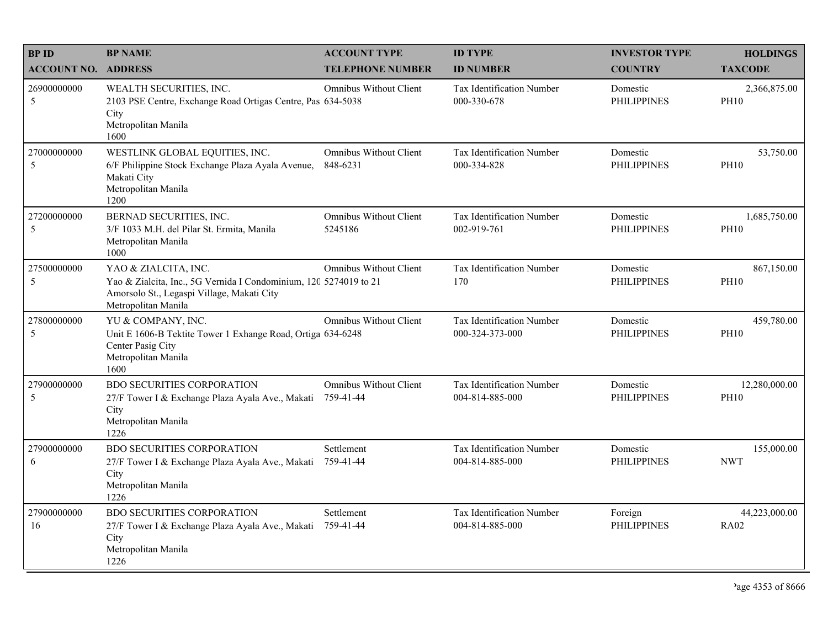| <b>BPID</b>                | <b>BP NAME</b>                                                                                                                                                 | <b>ACCOUNT TYPE</b>                        | <b>ID TYPE</b>                                      | <b>INVESTOR TYPE</b>           | <b>HOLDINGS</b>              |
|----------------------------|----------------------------------------------------------------------------------------------------------------------------------------------------------------|--------------------------------------------|-----------------------------------------------------|--------------------------------|------------------------------|
| <b>ACCOUNT NO. ADDRESS</b> |                                                                                                                                                                | <b>TELEPHONE NUMBER</b>                    | <b>ID NUMBER</b>                                    | <b>COUNTRY</b>                 | <b>TAXCODE</b>               |
| 26900000000<br>5           | WEALTH SECURITIES, INC.<br>2103 PSE Centre, Exchange Road Ortigas Centre, Pas 634-5038<br>City<br>Metropolitan Manila<br>1600                                  | <b>Omnibus Without Client</b>              | Tax Identification Number<br>000-330-678            | Domestic<br><b>PHILIPPINES</b> | 2,366,875.00<br><b>PH10</b>  |
| 27000000000<br>5           | WESTLINK GLOBAL EQUITIES, INC.<br>6/F Philippine Stock Exchange Plaza Ayala Avenue,<br>Makati City<br>Metropolitan Manila<br>1200                              | <b>Omnibus Without Client</b><br>848-6231  | Tax Identification Number<br>000-334-828            | Domestic<br><b>PHILIPPINES</b> | 53,750.00<br><b>PH10</b>     |
| 27200000000<br>5           | BERNAD SECURITIES, INC.<br>3/F 1033 M.H. del Pilar St. Ermita, Manila<br>Metropolitan Manila<br>1000                                                           | <b>Omnibus Without Client</b><br>5245186   | Tax Identification Number<br>002-919-761            | Domestic<br><b>PHILIPPINES</b> | 1,685,750.00<br><b>PH10</b>  |
| 27500000000<br>5           | YAO & ZIALCITA, INC.<br>Yao & Zialcita, Inc., 5G Vernida I Condominium, 120 5274019 to 21<br>Amorsolo St., Legaspi Village, Makati City<br>Metropolitan Manila | <b>Omnibus Without Client</b>              | Tax Identification Number<br>170                    | Domestic<br><b>PHILIPPINES</b> | 867,150.00<br><b>PH10</b>    |
| 27800000000<br>5           | YU & COMPANY, INC.<br>Unit E 1606-B Tektite Tower 1 Exhange Road, Ortiga 634-6248<br>Center Pasig City<br>Metropolitan Manila<br>1600                          | <b>Omnibus Without Client</b>              | Tax Identification Number<br>000-324-373-000        | Domestic<br><b>PHILIPPINES</b> | 459,780.00<br><b>PH10</b>    |
| 27900000000<br>5           | <b>BDO SECURITIES CORPORATION</b><br>27/F Tower I & Exchange Plaza Ayala Ave., Makati<br>City<br>Metropolitan Manila<br>1226                                   | <b>Omnibus Without Client</b><br>759-41-44 | Tax Identification Number<br>004-814-885-000        | Domestic<br><b>PHILIPPINES</b> | 12,280,000.00<br><b>PH10</b> |
| 27900000000<br>6           | <b>BDO SECURITIES CORPORATION</b><br>27/F Tower I & Exchange Plaza Ayala Ave., Makati<br>City<br>Metropolitan Manila<br>1226                                   | Settlement<br>759-41-44                    | <b>Tax Identification Number</b><br>004-814-885-000 | Domestic<br><b>PHILIPPINES</b> | 155,000.00<br><b>NWT</b>     |
| 27900000000<br>16          | <b>BDO SECURITIES CORPORATION</b><br>27/F Tower I & Exchange Plaza Ayala Ave., Makati<br>City<br>Metropolitan Manila<br>1226                                   | Settlement<br>759-41-44                    | Tax Identification Number<br>004-814-885-000        | Foreign<br><b>PHILIPPINES</b>  | 44,223,000.00<br><b>RA02</b> |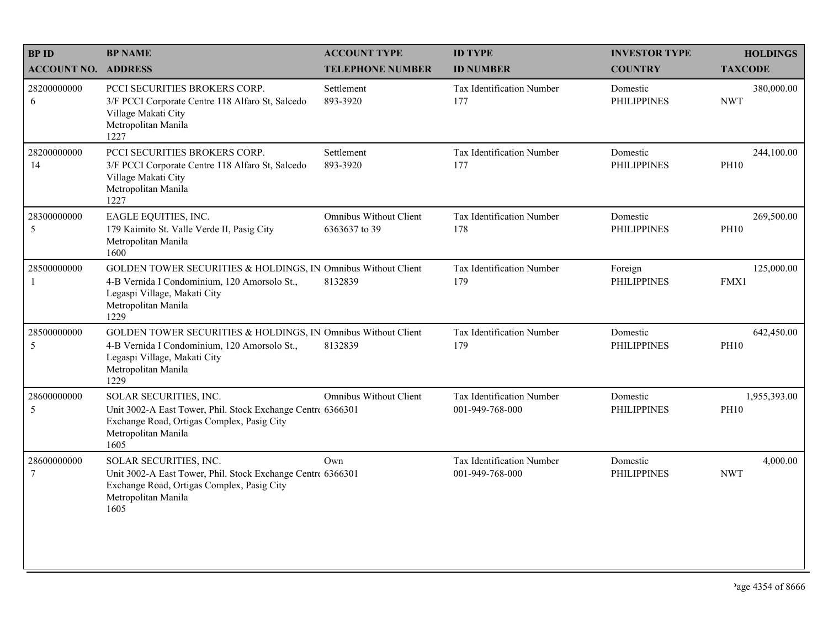| <b>BPID</b>                 | <b>BP NAME</b>                                                                                                                                                               | <b>ACCOUNT TYPE</b>                            | <b>ID TYPE</b>                               | <b>INVESTOR TYPE</b>           | <b>HOLDINGS</b>             |
|-----------------------------|------------------------------------------------------------------------------------------------------------------------------------------------------------------------------|------------------------------------------------|----------------------------------------------|--------------------------------|-----------------------------|
| <b>ACCOUNT NO. ADDRESS</b>  |                                                                                                                                                                              | <b>TELEPHONE NUMBER</b>                        | <b>ID NUMBER</b>                             | <b>COUNTRY</b>                 | <b>TAXCODE</b>              |
| 28200000000<br>6            | PCCI SECURITIES BROKERS CORP.<br>3/F PCCI Corporate Centre 118 Alfaro St, Salcedo<br>Village Makati City<br>Metropolitan Manila<br>1227                                      | Settlement<br>893-3920                         | Tax Identification Number<br>177             | Domestic<br><b>PHILIPPINES</b> | 380,000.00<br><b>NWT</b>    |
| 28200000000<br>14           | PCCI SECURITIES BROKERS CORP.<br>3/F PCCI Corporate Centre 118 Alfaro St, Salcedo<br>Village Makati City<br>Metropolitan Manila<br>1227                                      | Settlement<br>893-3920                         | Tax Identification Number<br>177             | Domestic<br><b>PHILIPPINES</b> | 244,100.00<br><b>PH10</b>   |
| 28300000000<br>5            | EAGLE EQUITIES, INC.<br>179 Kaimito St. Valle Verde II, Pasig City<br>Metropolitan Manila<br>1600                                                                            | <b>Omnibus Without Client</b><br>6363637 to 39 | Tax Identification Number<br>178             | Domestic<br><b>PHILIPPINES</b> | 269,500.00<br><b>PH10</b>   |
| 28500000000<br>$\mathbf{1}$ | GOLDEN TOWER SECURITIES & HOLDINGS, IN Omnibus Without Client<br>4-B Vernida I Condominium, 120 Amorsolo St.,<br>Legaspi Village, Makati City<br>Metropolitan Manila<br>1229 | 8132839                                        | Tax Identification Number<br>179             | Foreign<br><b>PHILIPPINES</b>  | 125,000.00<br>FMX1          |
| 28500000000<br>5            | GOLDEN TOWER SECURITIES & HOLDINGS, IN Omnibus Without Client<br>4-B Vernida I Condominium, 120 Amorsolo St.,<br>Legaspi Village, Makati City<br>Metropolitan Manila<br>1229 | 8132839                                        | Tax Identification Number<br>179             | Domestic<br><b>PHILIPPINES</b> | 642,450.00<br><b>PH10</b>   |
| 28600000000<br>5            | SOLAR SECURITIES, INC.<br>Unit 3002-A East Tower, Phil. Stock Exchange Centre 6366301<br>Exchange Road, Ortigas Complex, Pasig City<br>Metropolitan Manila<br>1605           | <b>Omnibus Without Client</b>                  | Tax Identification Number<br>001-949-768-000 | Domestic<br><b>PHILIPPINES</b> | 1,955,393.00<br><b>PH10</b> |
| 28600000000<br>$\tau$       | SOLAR SECURITIES, INC.<br>Unit 3002-A East Tower, Phil. Stock Exchange Centre 6366301<br>Exchange Road, Ortigas Complex, Pasig City<br>Metropolitan Manila<br>1605           | Own                                            | Tax Identification Number<br>001-949-768-000 | Domestic<br><b>PHILIPPINES</b> | 4,000.00<br><b>NWT</b>      |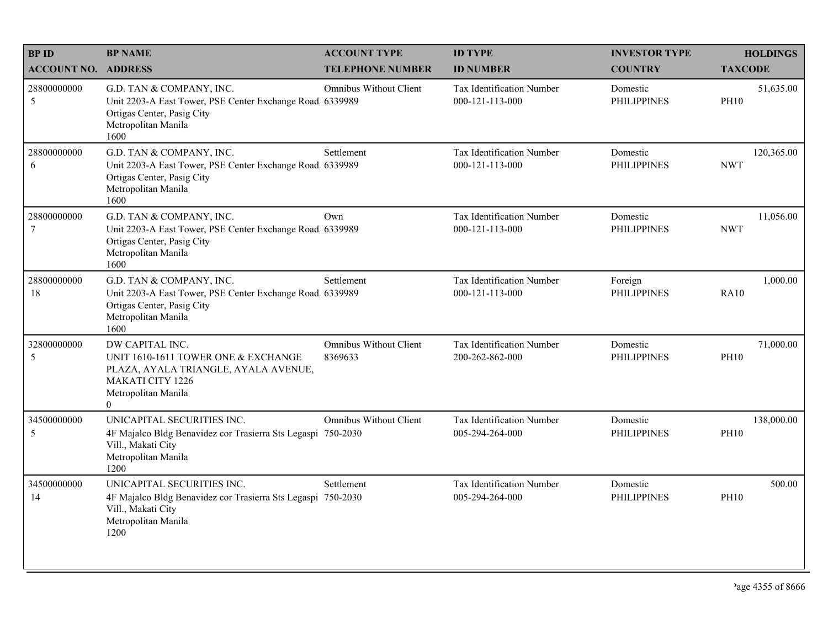| <b>BPID</b>                   | <b>BP NAME</b>                                                                                                                                               | <b>ACCOUNT TYPE</b>               | <b>ID TYPE</b>                                      | <b>INVESTOR TYPE</b>           | <b>HOLDINGS</b>           |
|-------------------------------|--------------------------------------------------------------------------------------------------------------------------------------------------------------|-----------------------------------|-----------------------------------------------------|--------------------------------|---------------------------|
| <b>ACCOUNT NO. ADDRESS</b>    |                                                                                                                                                              | <b>TELEPHONE NUMBER</b>           | <b>ID NUMBER</b>                                    | <b>COUNTRY</b>                 | <b>TAXCODE</b>            |
| 28800000000<br>5              | G.D. TAN & COMPANY, INC.<br>Unit 2203-A East Tower, PSE Center Exchange Road, 6339989<br>Ortigas Center, Pasig City<br>Metropolitan Manila<br>1600           | Omnibus Without Client            | <b>Tax Identification Number</b><br>000-121-113-000 | Domestic<br><b>PHILIPPINES</b> | 51,635.00<br><b>PH10</b>  |
| 28800000000<br>6              | G.D. TAN & COMPANY, INC.<br>Unit 2203-A East Tower, PSE Center Exchange Road. 6339989<br>Ortigas Center, Pasig City<br>Metropolitan Manila<br>1600           | Settlement                        | Tax Identification Number<br>000-121-113-000        | Domestic<br><b>PHILIPPINES</b> | 120,365.00<br><b>NWT</b>  |
| 28800000000<br>$\overline{7}$ | G.D. TAN & COMPANY, INC.<br>Unit 2203-A East Tower, PSE Center Exchange Road 6339989<br>Ortigas Center, Pasig City<br>Metropolitan Manila<br>1600            | Own                               | Tax Identification Number<br>000-121-113-000        | Domestic<br><b>PHILIPPINES</b> | 11,056.00<br><b>NWT</b>   |
| 28800000000<br>18             | G.D. TAN & COMPANY, INC.<br>Unit 2203-A East Tower, PSE Center Exchange Road, 6339989<br>Ortigas Center, Pasig City<br>Metropolitan Manila<br>1600           | Settlement                        | Tax Identification Number<br>000-121-113-000        | Foreign<br><b>PHILIPPINES</b>  | 1,000.00<br><b>RA10</b>   |
| 32800000000<br>5              | DW CAPITAL INC.<br>UNIT 1610-1611 TOWER ONE & EXCHANGE<br>PLAZA, AYALA TRIANGLE, AYALA AVENUE,<br><b>MAKATI CITY 1226</b><br>Metropolitan Manila<br>$\Omega$ | Omnibus Without Client<br>8369633 | Tax Identification Number<br>200-262-862-000        | Domestic<br><b>PHILIPPINES</b> | 71,000.00<br><b>PH10</b>  |
| 34500000000<br>$\sqrt{5}$     | UNICAPITAL SECURITIES INC.<br>4F Majalco Bldg Benavidez cor Trasierra Sts Legaspi 750-2030<br>Vill., Makati City<br>Metropolitan Manila<br>1200              | Omnibus Without Client            | Tax Identification Number<br>005-294-264-000        | Domestic<br><b>PHILIPPINES</b> | 138,000.00<br><b>PH10</b> |
| 34500000000<br>14             | UNICAPITAL SECURITIES INC.<br>4F Majalco Bldg Benavidez cor Trasierra Sts Legaspi 750-2030<br>Vill., Makati City<br>Metropolitan Manila<br>1200              | Settlement                        | Tax Identification Number<br>005-294-264-000        | Domestic<br><b>PHILIPPINES</b> | 500.00<br><b>PH10</b>     |